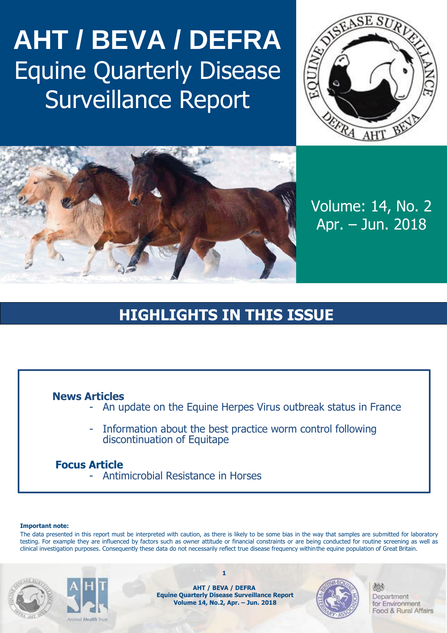## **AHT / BEVA / DEFRA** Equine Quarterly Disease Surveillance Report





Volume: 14, No. 2 Apr. – Jun. 2018

## **HIGHLIGHTS IN THIS ISSUE**

### **News Articles**

- An update on the Equine Herpes Virus outbreak status in France
- Information about the best practice worm control following discontinuation of Equitape

### **Focus Article**

- Antimicrobial Resistance in Horses

#### **Important note:**

The data presented in this report must be interpreted with caution, as there is likely to be some bias in the way that samples are submitted for laboratory testing. For example they are influenced by factors such as owner attitude or financial constraints or are being conducted for routine screening as well as clinical investigation purposes. Consequently these data do not necessarily reflect true disease frequency withinthe equine population of Great Britain.





**AHT / BEVA / DEFRA Equine Quarterly Disease Surveillance Report Volume 14, No.2, Apr. – Jun. 2018**

**1**

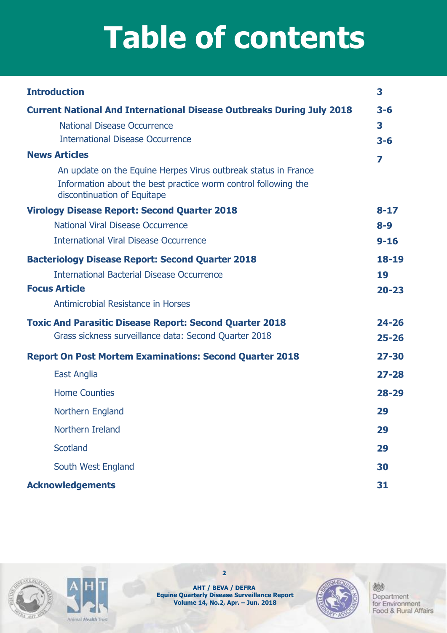# **Table of contents**

| <b>Introduction</b>                                                                           | 3         |
|-----------------------------------------------------------------------------------------------|-----------|
| <b>Current National And International Disease Outbreaks During July 2018</b>                  | $3 - 6$   |
| <b>National Disease Occurrence</b>                                                            | 3         |
| <b>International Disease Occurrence</b>                                                       | $3 - 6$   |
| <b>News Articles</b>                                                                          | 7         |
| An update on the Equine Herpes Virus outbreak status in France                                |           |
| Information about the best practice worm control following the<br>discontinuation of Equitape |           |
| <b>Virology Disease Report: Second Quarter 2018</b>                                           | $8 - 17$  |
| National Viral Disease Occurrence                                                             | $8 - 9$   |
| <b>International Viral Disease Occurrence</b>                                                 | $9 - 16$  |
| <b>Bacteriology Disease Report: Second Quarter 2018</b>                                       | 18-19     |
| <b>International Bacterial Disease Occurrence</b>                                             | 19        |
| <b>Focus Article</b>                                                                          | $20 - 23$ |
| Antimicrobial Resistance in Horses                                                            |           |
| <b>Toxic And Parasitic Disease Report: Second Quarter 2018</b>                                | $24 - 26$ |
| Grass sickness surveillance data: Second Quarter 2018                                         | $25 - 26$ |
| <b>Report On Post Mortem Examinations: Second Quarter 2018</b>                                | $27 - 30$ |
| East Anglia                                                                                   | $27 - 28$ |
| <b>Home Counties</b>                                                                          | $28 - 29$ |
| Northern England                                                                              | 29        |
| Northern Ireland                                                                              | 29        |
| <b>Scotland</b>                                                                               | 29        |
| South West England                                                                            | 30        |
| <b>Acknowledgements</b>                                                                       | 31        |





**2**

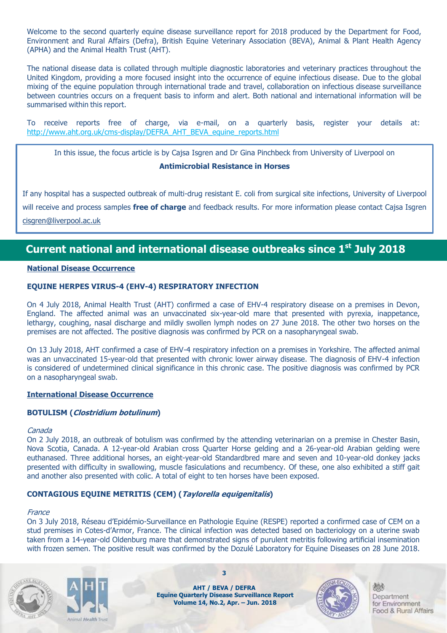Welcome to the second quarterly equine disease surveillance report for 2018 produced by the Department for Food, Environment and Rural Affairs (Defra), British Equine Veterinary Association (BEVA), Animal & Plant Health Agency (APHA) and the Animal Health Trust (AHT).

The national disease data is collated through multiple diagnostic laboratories and veterinary practices throughout the United Kingdom, providing a more focused insight into the occurrence of equine infectious disease. Due to the global mixing of the equine population through international trade and travel, collaboration on infectious disease surveillance between countries occurs on a frequent basis to inform and alert. Both national and international information will be summarised within this report.

To receive reports free of charge, via e-mail, on a quarterly basis, register your details at: [http://www.aht.org.uk/cms-display/DEFRA\\_AHT\\_BEVA\\_equine\\_reports.html](http://www.aht.org.uk/cms-display/DEFRA_AHT_BEVA_equine_reports.html)

In this issue, the focus article is by Cajsa Isgren and Dr Gina Pinchbeck from University of Liverpool on

#### **Antimicrobial Resistance in Horses**

If any hospital has a suspected outbreak of multi-drug resistant E. coli from surgical site infections, University of Liverpool will receive and process samples **free of charge** and feedback results. For more information please contact Cajsa Isgren [cisgren@liverpool.ac.uk](mailto:cisgren@liverpool.ac.uk)

## **Current national and international disease outbreaks since 1 st July 2018**

#### **National Disease Occurrence**

#### **EQUINE HERPES VIRUS-4 (EHV-4) RESPIRATORY INFECTION**

On 4 July 2018, Animal Health Trust (AHT) confirmed a case of EHV-4 respiratory disease on a premises in Devon, England. The affected animal was an unvaccinated six-year-old mare that presented with pyrexia, inappetance, lethargy, coughing, nasal discharge and mildly swollen lymph nodes on 27 June 2018. The other two horses on the premises are not affected. The positive diagnosis was confirmed by PCR on a nasopharyngeal swab.

On 13 July 2018, AHT confirmed a case of EHV-4 respiratory infection on a premises in Yorkshire. The affected animal was an unvaccinated 15-year-old that presented with chronic lower airway disease. The diagnosis of EHV-4 infection is considered of undetermined clinical significance in this chronic case. The positive diagnosis was confirmed by PCR on a nasopharyngeal swab.

#### **International Disease Occurrence**

#### **BOTULISM (Clostridium botulinum)**

#### Canada

On 2 July 2018, an outbreak of botulism was confirmed by the attending veterinarian on a premise in Chester Basin, Nova Scotia, Canada. A 12-year-old Arabian cross Quarter Horse gelding and a 26-year-old Arabian gelding were euthanased. Three additional horses, an eight-year-old Standardbred mare and seven and 10-year-old donkey jacks presented with difficulty in swallowing, muscle fasiculations and recumbency. Of these, one also exhibited a stiff gait and another also presented with colic. A total of eight to ten horses have been exposed.

#### **CONTAGIOUS EQUINE METRITIS (CEM) (Taylorella equigenitalis)**

#### **France**

On 3 July 2018, Réseau d'Epidémio-Surveillance en Pathologie Equine (RESPE) reported a confirmed case of CEM on a stud premises in Cotes-d'Armor, France. The clinical infection was detected based on bacteriology on a uterine swab taken from a 14-year-old Oldenburg mare that demonstrated signs of purulent metritis following artificial insemination with frozen semen. The positive result was confirmed by the Dozulé Laboratory for Equine Diseases on 28 June 2018.





**AHT / BEVA / DEFRA Equine Quarterly Disease Surveillance Report Volume 14, No.2, Apr. – Jun. 2018**

**3**

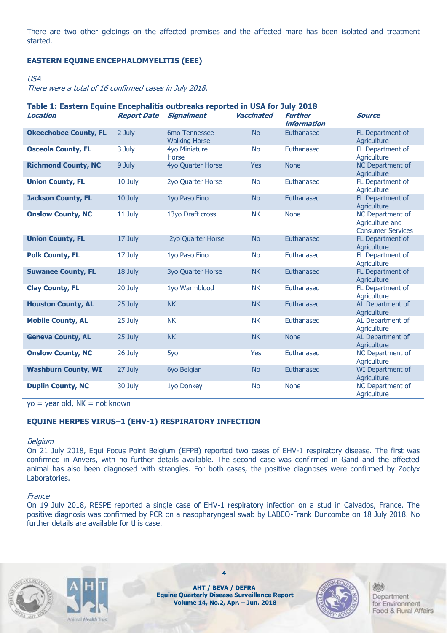There are two other geldings on the affected premises and the affected mare has been isolated and treatment started.

#### **EASTERN EQUINE ENCEPHALOMYELITIS (EEE)**

#### USA

There were a total of 16 confirmed cases in July 2018.

| Table 1: Eastern Equine Encephalitis outbreaks reported in USA for July 2018 |                    |                                       |                   |                                      |                                                                 |  |  |
|------------------------------------------------------------------------------|--------------------|---------------------------------------|-------------------|--------------------------------------|-----------------------------------------------------------------|--|--|
| <b>Location</b>                                                              | <b>Report Date</b> | <b>Signalment</b>                     | <b>Vaccinated</b> | <b>Further</b><br><i>information</i> | <b>Source</b>                                                   |  |  |
| <b>Okeechobee County, FL</b>                                                 | 2 July             | 6mo Tennessee<br><b>Walking Horse</b> | <b>No</b>         | Euthanased                           | FL Department of<br>Agriculture                                 |  |  |
| <b>Osceola County, FL</b>                                                    | 3 July             | 4yo Miniature<br>Horse                | <b>No</b>         | Euthanased                           | FL Department of<br>Agriculture                                 |  |  |
| <b>Richmond County, NC</b>                                                   | 9 July             | 4yo Quarter Horse                     | <b>Yes</b>        | <b>None</b>                          | NC Department of<br>Agriculture                                 |  |  |
| <b>Union County, FL</b>                                                      | 10 July            | 2yo Quarter Horse                     | <b>No</b>         | Euthanased                           | FL Department of<br>Agriculture                                 |  |  |
| <b>Jackson County, FL</b>                                                    | 10 July            | 1yo Paso Fino                         | <b>No</b>         | Euthanased                           | FL Department of<br>Agriculture                                 |  |  |
| <b>Onslow County, NC</b>                                                     | 11 July            | 13yo Draft cross                      | <b>NK</b>         | <b>None</b>                          | NC Department of<br>Agriculture and<br><b>Consumer Services</b> |  |  |
| <b>Union County, FL</b>                                                      | 17 July            | 2yo Quarter Horse                     | <b>No</b>         | Euthanased                           | FL Department of<br>Agriculture                                 |  |  |
| <b>Polk County, FL</b>                                                       | 17 July            | 1yo Paso Fino                         | <b>No</b>         | Euthanased                           | FL Department of<br>Agriculture                                 |  |  |
| <b>Suwanee County, FL</b>                                                    | 18 July            | <b>3yo Quarter Horse</b>              | <b>NK</b>         | Euthanased                           | FL Department of<br>Agriculture                                 |  |  |
| <b>Clay County, FL</b>                                                       | 20 July            | 1yo Warmblood                         | <b>NK</b>         | Euthanased                           | FL Department of<br>Agriculture                                 |  |  |
| <b>Houston County, AL</b>                                                    | 25 July            | <b>NK</b>                             | <b>NK</b>         | Euthanased                           | AL Department of<br>Agriculture                                 |  |  |
| <b>Mobile County, AL</b>                                                     | 25 July            | <b>NK</b>                             | <b>NK</b>         | Euthanased                           | AL Department of<br>Agriculture                                 |  |  |
| <b>Geneva County, AL</b>                                                     | 25 July            | <b>NK</b>                             | <b>NK</b>         | <b>None</b>                          | AL Department of<br>Agriculture                                 |  |  |
| <b>Onslow County, NC</b>                                                     | 26 July            | 5yo                                   | <b>Yes</b>        | Euthanased                           | NC Department of<br>Agriculture                                 |  |  |
| <b>Washburn County, WI</b>                                                   | 27 July            | 6yo Belgian                           | <b>No</b>         | Euthanased                           | WI Department of<br>Agriculture                                 |  |  |
| <b>Duplin County, NC</b>                                                     | 30 July            | 1yo Donkey                            | <b>No</b>         | <b>None</b>                          | NC Department of<br>Agriculture                                 |  |  |

 $yo = year old, NK = not known$ 

#### **EQUINE HERPES VIRUS–1 (EHV-1) RESPIRATORY INFECTION**

#### Belgium

On 21 July 2018, Equi Focus Point Belgium (EFPB) reported two cases of EHV-1 respiratory disease. The first was confirmed in Anvers, with no further details available. The second case was confirmed in Gand and the affected animal has also been diagnosed with strangles. For both cases, the positive diagnoses were confirmed by Zoolyx Laboratories.

#### **France**

On 19 July 2018, RESPE reported a single case of EHV-1 respiratory infection on a stud in Calvados, France. The positive diagnosis was confirmed by PCR on a nasopharyngeal swab by LABEO-Frank Duncombe on 18 July 2018. No further details are available for this case.





**AHT / BEVA / DEFRA Equine Quarterly Disease Surveillance Report Volume 14, No.2, Apr. – Jun. 2018**

**4**

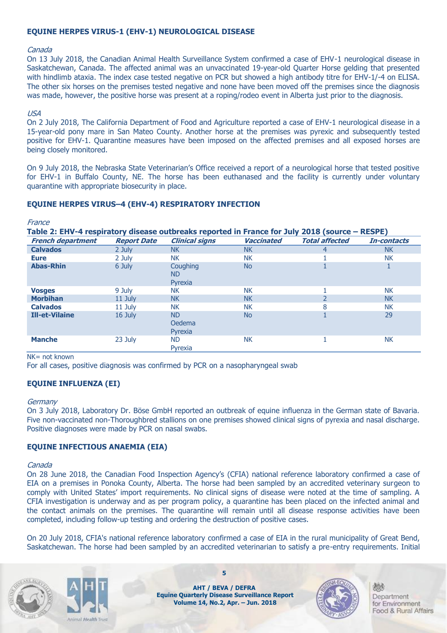#### **EQUINE HERPES VIRUS-1 (EHV-1) NEUROLOGICAL DISEASE**

#### Canada

On 13 July 2018, the Canadian Animal Health Surveillance System confirmed a case of EHV-1 neurological disease in Saskatchewan, Canada. The affected animal was an unvaccinated 19-year-old Quarter Horse gelding that presented with hindlimb ataxia. The index case tested negative on PCR but showed a high antibody titre for EHV-1/-4 on ELISA. The other six horses on the premises tested negative and none have been moved off the premises since the diagnosis was made, however, the positive horse was present at a roping/rodeo event in Alberta just prior to the diagnosis.

#### USA

On 2 July 2018, The California Department of Food and Agriculture reported a case of EHV-1 neurological disease in a 15-year-old pony mare in San Mateo County. Another horse at the premises was pyrexic and subsequently tested positive for EHV-1. Quarantine measures have been imposed on the affected premises and all exposed horses are being closely monitored.

On 9 July 2018, the Nebraska State Veterinarian's Office received a report of a neurological horse that tested positive for EHV-1 in Buffalo County, NE. The horse has been euthanased and the facility is currently under voluntary quarantine with appropriate biosecurity in place.

#### **EQUINE HERPES VIRUS–4 (EHV-4) RESPIRATORY INFECTION**

France

**Table 2: EHV-4 respiratory disease outbreaks reported in France for July 2018 (source – RESPE)**

| <b>French department</b> | <b>Report Date</b> | <b>Clinical signs</b>          | <b>Vaccinated</b> | <b>Total affected</b> | In-contacts |
|--------------------------|--------------------|--------------------------------|-------------------|-----------------------|-------------|
| <b>Calvados</b>          | 2 July             | <b>NK</b>                      | <b>NK</b>         | 4                     | <b>NK</b>   |
| <b>Eure</b>              | 2 July             | <b>NK</b>                      | <b>NK</b>         |                       | <b>NK</b>   |
| <b>Abas-Rhin</b>         | 6 July             | Coughing<br>ND.<br>Pyrexia     | <b>No</b>         |                       | ÷.          |
| <b>Vosges</b>            | 9 July             | <b>NK</b>                      | <b>NK</b>         |                       | <b>NK</b>   |
| <b>Morbihan</b>          | 11 July            | <b>NK</b>                      | <b>NK</b>         |                       | <b>NK</b>   |
| <b>Calvados</b>          | 11 July            | <b>NK</b>                      | <b>NK</b>         | 8                     | <b>NK</b>   |
| <b>Ill-et-Vilaine</b>    | 16 July            | <b>ND</b><br>Oedema<br>Pyrexia | <b>No</b>         |                       | 29          |
| <b>Manche</b>            | 23 July            | <b>ND</b><br>Pyrexia           | <b>NK</b>         |                       | <b>NK</b>   |

#### NK= not known

For all cases, positive diagnosis was confirmed by PCR on a nasopharyngeal swab

#### **EQUINE INFLUENZA (EI)**

#### Germany

On 3 July 2018, Laboratory Dr. Böse GmbH reported an outbreak of equine influenza in the German state of Bavaria. Five non-vaccinated non-Thoroughbred stallions on one premises showed clinical signs of pyrexia and nasal discharge. Positive diagnoses were made by PCR on nasal swabs.

#### **EQUINE INFECTIOUS ANAEMIA (EIA)**

#### Canada

On 28 June 2018, the Canadian Food Inspection Agency's (CFIA) national reference laboratory confirmed a case of EIA on a premises in Ponoka County, Alberta. The horse had been sampled by an accredited veterinary surgeon to comply with United States' import requirements. No clinical signs of disease were noted at the time of sampling. A CFIA investigation is underway and as per program policy, a quarantine has been placed on the infected animal and the contact animals on the premises. The quarantine will remain until all disease response activities have been completed, including follow-up testing and ordering the destruction of positive cases.

On 20 July 2018, CFIA's national reference laboratory confirmed a case of EIA in the rural municipality of Great Bend, Saskatchewan. The horse had been sampled by an accredited veterinarian to satisfy a pre-entry requirements. Initial





**AHT / BEVA / DEFRA Equine Quarterly Disease Surveillance Report Volume 14, No.2, Apr. – Jun. 2018**

**5**

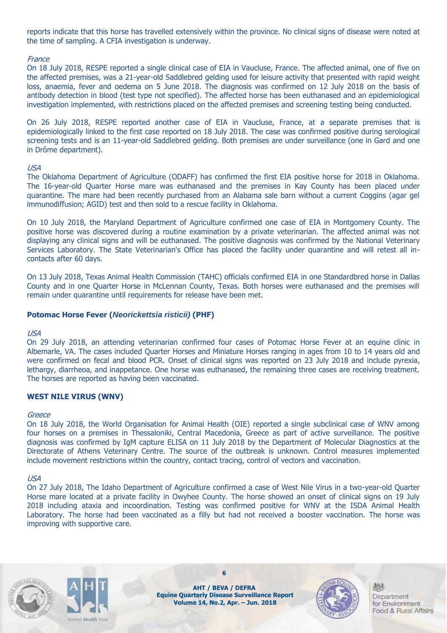reports indicate that this horse has travelled extensively within the province. No clinical signs of disease were noted at the time of sampling. A CFIA investigation is underway.

#### **France**

On 18 July 2018, RESPE reported a single clinical case of EIA in Vaucluse, France. The affected animal, one of five on the affected premises, was a 21-year-old Saddlebred gelding used for leisure activity that presented with rapid weight loss, anaemia, fever and oedema on 5 June 2018. The diagnosis was confirmed on 12 July 2018 on the basis of antibody detection in blood (test type not specified). The affected horse has been euthanased and an epidemiological investigation implemented, with restrictions placed on the affected premises and screening testing being conducted.

On 26 July 2018, RESPE reported another case of EIA in Vaucluse, France, at a separate premises that is epidemiologically linked to the first case reported on 18 July 2018. The case was confirmed positive during serological screening tests and is an 11-year-old Saddlebred gelding. Both premises are under surveillance (one in Gard and one in Drôme department).

#### USA

The Oklahoma Department of Agriculture (ODAFF) has confirmed the first EIA positive horse for 2018 in Oklahoma. The 16-year-old Quarter Horse mare was euthanased and the premises in Kay County has been placed under quarantine. The mare had been recently purchased from an Alabama sale barn without a current Coggins (agar gel immunodiffusion; AGID) test and then sold to a rescue facility in Oklahoma.

On 10 July 2018, the Maryland Department of Agriculture confirmed one case of EIA in Montgomery County. The positive horse was discovered during a routine examination by a private veterinarian. The affected animal was not displaying any clinical signs and will be euthanased. The positive diagnosis was confirmed by the National Veterinary Services Laboratory. The State Veterinarian's Office has placed the facility under quarantine and will retest all incontacts after 60 days.

On 13 July 2018, Texas Animal Health Commission (TAHC) officials confirmed EIA in one Standardbred horse in Dallas County and in one Quarter Horse in McLennan County, Texas. Both horses were euthanased and the premises will remain under quarantine until requirements for release have been met.

#### **Potomac Horse Fever (***Neorickettsia risticii)* **(PHF)**

#### USA

On 29 July 2018, an attending veterinarian confirmed four cases of Potomac Horse Fever at an equine clinic in Albemarle, VA. The cases included Quarter Horses and Miniature Horses ranging in ages from 10 to 14 years old and were confirmed on fecal and blood PCR. Onset of clinical signs was reported on 23 July 2018 and include pyrexia, lethargy, diarrheoa, and inappetance. One horse was euthanased, the remaining three cases are receiving treatment. The horses are reported as having been vaccinated.

#### **WEST NILE VIRUS (WNV)**

#### **Greece**

On 18 July 2018, the World Organisation for Animal Health (OIE) reported a single subclinical case of WNV among four horses on a premises in Thessaloniki, Central Macedonia, Greece as part of active surveillance. The positive diagnosis was confirmed by IgM capture ELISA on 11 July 2018 by the Department of Molecular Diagnostics at the Directorate of Athens Veterinary Centre. The source of the outbreak is unknown. Control measures implemented include movement restrictions within the country, contact tracing, control of vectors and vaccination.

#### USA

On 27 July 2018, The Idaho Department of Agriculture confirmed a case of West Nile Virus in a two-year-old Quarter Horse mare located at a private facility in Owyhee County. The horse showed an onset of clinical signs on 19 July 2018 including ataxia and incoordination. Testing was confirmed positive for WNV at the ISDA Animal Health Laboratory. The horse had been vaccinated as a filly but had not received a booster vaccination. The horse was improving with supportive care.





**AHT / BEVA / DEFRA Equine Quarterly Disease Surveillance Report Volume 14, No.2, Apr. – Jun. 2018**

**6**

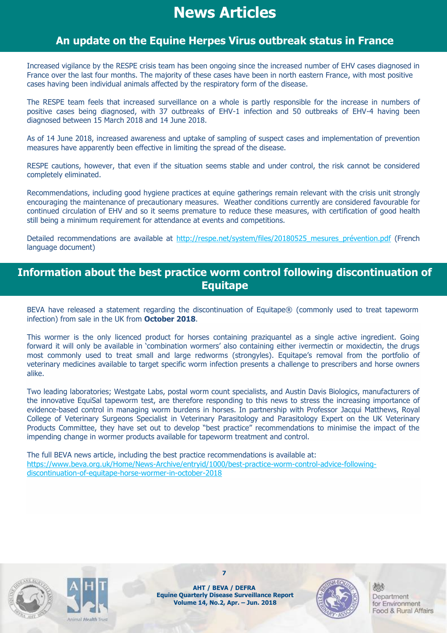## **News Articles**

## **An update on the Equine Herpes Virus outbreak status in France**

Increased vigilance by the RESPE crisis team has been ongoing since the increased number of EHV cases diagnosed in France over the last four months. The majority of these cases have been in north eastern France, with most positive cases having been individual animals affected by the respiratory form of the disease.

The RESPE team feels that increased surveillance on a whole is partly responsible for the increase in numbers of positive cases being diagnosed, with 37 outbreaks of EHV-1 infection and 50 outbreaks of EHV-4 having been diagnosed between 15 March 2018 and 14 June 2018.

As of 14 June 2018, increased awareness and uptake of sampling of suspect cases and implementation of prevention measures have apparently been effective in limiting the spread of the disease.

RESPE cautions, however, that even if the situation seems stable and under control, the risk cannot be considered completely eliminated.

Recommendations, including good hygiene practices at equine gatherings remain relevant with the crisis unit strongly encouraging the maintenance of precautionary measures. Weather conditions currently are considered favourable for continued circulation of EHV and so it seems premature to reduce these measures, with certification of good health still being a minimum requirement for attendance at events and competitions.

Detailed recommendations are available at http://respe.net/system/files/20180525 mesures prévention.pdf (French language document)

## **Information about the best practice worm control following discontinuation of Equitape**

BEVA have released a statement regarding the discontinuation of Equitape® (commonly used to treat tapeworm infection) from sale in the UK from **October 2018**.

This wormer is the only licenced product for horses containing praziquantel as a single active ingredient. Going forward it will only be available in 'combination wormers' also containing either ivermectin or moxidectin, the drugs most commonly used to treat small and large redworms (strongyles). Equitape's removal from the portfolio of veterinary medicines available to target specific worm infection presents a challenge to prescribers and horse owners alike.

Two leading laboratories; Westgate Labs, postal worm count specialists, and Austin Davis Biologics, manufacturers of the innovative EquiSal tapeworm test, are therefore responding to this news to stress the increasing importance of evidence-based control in managing worm burdens in horses. In partnership with Professor Jacqui Matthews, Royal College of Veterinary Surgeons Specialist in Veterinary Parasitology and Parasitology Expert on the UK Veterinary Products Committee, they have set out to develop "best practice" recommendations to minimise the impact of the impending change in wormer products available for tapeworm treatment and control.

The full BEVA news article, including the best practice recommendations is available at: https://www.beva.org.uk/Home/News-Archive/entryid/1000/best-practice-worm-control-advice-followingdiscontinuation-of-equitape-horse-wormer-in-october-2018





**AHT / BEVA / DEFRA Equine Quarterly Disease Surveillance Report Volume 14, No.2, Apr. – Jun. 2018**

**7**

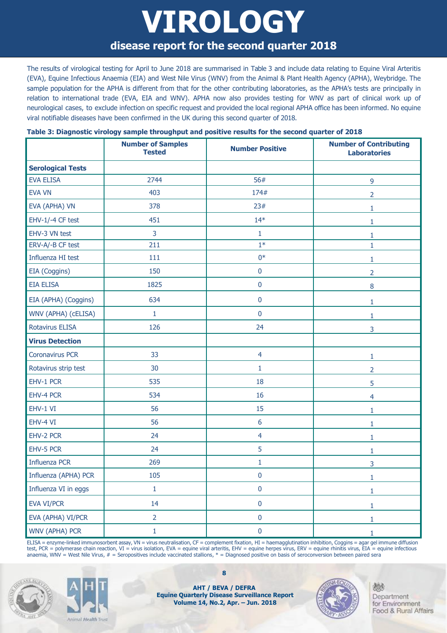## **VIROLOGY disease report for the second quarter 2018**

The results of virological testing for April to June 2018 are summarised in Table 3 and include data relating to Equine Viral Arteritis (EVA), Equine Infectious Anaemia (EIA) and West Nile Virus (WNV) from the Animal & Plant Health Agency (APHA), Weybridge. The sample population for the APHA is different from that for the other contributing laboratories, as the APHA's tests are principally in relation to international trade (EVA, EIA and WNV). APHA now also provides testing for WNV as part of clinical work up of neurological cases, to exclude infection on specific request and provided the local regional APHA office has been informed. No equine viral notifiable diseases have been confirmed in the UK during this second quarter of 2018.

|  | Table 3: Diagnostic virology sample throughput and positive results for the second quarter of 2018 |
|--|----------------------------------------------------------------------------------------------------|
|  |                                                                                                    |

|                          | <b>Number of Samples</b><br><b>Tested</b> | <b>Number Positive</b> | <b>Number of Contributing</b><br><b>Laboratories</b> |
|--------------------------|-------------------------------------------|------------------------|------------------------------------------------------|
| <b>Serological Tests</b> |                                           |                        |                                                      |
| <b>EVA ELISA</b>         | 2744                                      | 56#                    | 9                                                    |
| <b>EVA VN</b>            | 403                                       | 174#                   | $\overline{2}$                                       |
| EVA (APHA) VN            | 378                                       | 23#                    | $\mathbf{1}$                                         |
| EHV-1/-4 CF test         | 451                                       | $14*$                  | 1                                                    |
| EHV-3 VN test            | 3                                         | $\mathbf{1}$           | 1                                                    |
| ERV-A/-B CF test         | 211                                       | $1*$                   | $\mathbf{1}$                                         |
| Influenza HI test        | 111                                       | $0*$                   | 1                                                    |
| EIA (Coggins)            | 150                                       | $\pmb{0}$              | $\overline{2}$                                       |
| <b>EIA ELISA</b>         | 1825                                      | $\pmb{0}$              | 8                                                    |
| EIA (APHA) (Coggins)     | 634                                       | $\pmb{0}$              | $\mathbf{1}$                                         |
| WNV (APHA) (cELISA)      | $\mathbf{1}$                              | $\pmb{0}$              | 1                                                    |
| <b>Rotavirus ELISA</b>   | 126                                       | 24                     | 3                                                    |
| <b>Virus Detection</b>   |                                           |                        |                                                      |
| <b>Coronavirus PCR</b>   | 33                                        | $\overline{4}$         | 1                                                    |
| Rotavirus strip test     | 30                                        | $\mathbf{1}$           | 2                                                    |
| EHV-1 PCR                | 535                                       | 18                     | 5                                                    |
| EHV-4 PCR                | 534                                       | 16                     | 4                                                    |
| EHV-1 VI                 | 56                                        | 15                     | 1                                                    |
| EHV-4 VI                 | 56                                        | 6                      | 1                                                    |
| EHV-2 PCR                | 24                                        | $\overline{4}$         | 1                                                    |
| EHV-5 PCR                | 24                                        | 5                      | 1                                                    |
| <b>Influenza PCR</b>     | 269                                       | 1                      | 3                                                    |
| Influenza (APHA) PCR     | 105                                       | $\pmb{0}$              | $\mathbf{1}$                                         |
| Influenza VI in eggs     | $\mathbf{1}$                              | $\pmb{0}$              | $\mathbf{1}$                                         |
| EVA VI/PCR               | 14                                        | $\pmb{0}$              | $\mathbf{1}$                                         |
| EVA (APHA) VI/PCR        | $\overline{2}$                            | $\pmb{0}$              | $1\,$                                                |
| WNV (APHA) PCR           | $\mathbf{1}$                              | $\pmb{0}$              | $\mathbf 1$                                          |

ELISA = enzyme-linked immunosorbent assay, VN = virus neutralisation, CF = complement fixation, HI = haemagglutination inhibition, Coggins = agar gel immune diffusion test, PCR = polymerase chain reaction, VI = virus isolation, EVA = equine viral arteritis, EHV = equine herpes virus, ERV = equine rhinitis virus, EIA = equine infectious anaemia, WNV = West Nile Virus,  $#$  = Seropositives include vaccinated stallions,  $*$  = Diagnosed positive on basis of seroconversion between paired sera





**AHT / BEVA / DEFRA Equine Quarterly Disease Surveillance Report Volume 14, No.2, Apr. – Jun. 2018**

**8**

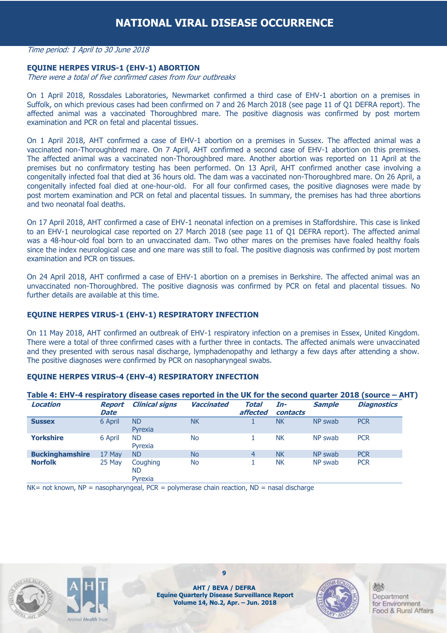#### Time period: 1 April to 30 June 2018

#### **EQUINE HERPES VIRUS-1 (EHV-1) ABORTION**

There were a total of five confirmed cases from four outbreaks

On 1 April 2018, Rossdales Laboratories, Newmarket confirmed a third case of EHV-1 abortion on a premises in Suffolk, on which previous cases had been confirmed on 7 and 26 March 2018 (see page 11 of Q1 DEFRA report). The affected animal was a vaccinated Thoroughbred mare. The positive diagnosis was confirmed by post mortem examination and PCR on fetal and placental tissues.

On 1 April 2018, AHT confirmed a case of EHV-1 abortion on a premises in Sussex. The affected animal was a vaccinated non-Thoroughbred mare. On 7 April, AHT confirmed a second case of EHV-1 abortion on this premises. The affected animal was a vaccinated non-Thoroughbred mare. Another abortion was reported on 11 April at the premises but no confirmatory testing has been performed. On 13 April, AHT confirmed another case involving a congenitally infected foal that died at 36 hours old. The dam was a vaccinated non-Thoroughbred mare. On 26 April, a congenitally infected foal died at one-hour-old. For all four confirmed cases, the positive diagnoses were made by post mortem examination and PCR on fetal and placental tissues. In summary, the premises has had three abortions and two neonatal foal deaths.

On 17 April 2018, AHT confirmed a case of EHV-1 neonatal infection on a premises in Staffordshire. This case is linked to an EHV-1 neurological case reported on 27 March 2018 (see page 11 of Q1 DEFRA report). The affected animal was a 48-hour-old foal born to an unvaccinated dam. Two other mares on the premises have foaled healthy foals since the index neurological case and one mare was still to foal. The positive diagnosis was confirmed by post mortem examination and PCR on tissues.

On 24 April 2018, AHT confirmed a case of EHV-1 abortion on a premises in Berkshire. The affected animal was an unvaccinated non-Thoroughbred. The positive diagnosis was confirmed by PCR on fetal and placental tissues. No further details are available at this time.

#### **EQUINE HERPES VIRUS-1 (EHV-1) RESPIRATORY INFECTION**

On 11 May 2018, AHT confirmed an outbreak of EHV-1 respiratory infection on a premises in Essex, United Kingdom. There were a total of three confirmed cases with a further three in contacts. The affected animals were unvaccinated and they presented with serous nasal discharge, lymphadenopathy and lethargy a few days after attending a show. The positive diagnoses were confirmed by PCR on nasopharyngeal swabs.

#### **EQUINE HERPES VIRUS-4 (EHV-4) RESPIRATORY INFECTION**

| <b>Location</b>        | <b>Report</b><br><b>Date</b> | <b>Clinical signs</b>      | <b>Vaccinated</b> | Total<br>affected | In-<br>contacts | <b>Sample</b> | <b>Diagnostics</b> |
|------------------------|------------------------------|----------------------------|-------------------|-------------------|-----------------|---------------|--------------------|
| <b>Sussex</b>          | 6 April                      | <b>ND</b><br>Pyrexia       | <b>NK</b>         |                   | <b>NK</b>       | NP swab       | <b>PCR</b>         |
| <b>Yorkshire</b>       | 6 April                      | <b>ND</b><br>Pyrexia       | <b>No</b>         |                   | <b>NK</b>       | NP swab       | <b>PCR</b>         |
| <b>Buckinghamshire</b> | 17 May                       | ND.                        | <b>No</b>         | 4                 | <b>NK</b>       | NP swab       | <b>PCR</b>         |
| <b>Norfolk</b>         | 25 May                       | Coughing<br>ND.<br>Pyrexia | No.               |                   | <b>NK</b>       | NP swab       | <b>PCR</b>         |

 $NK = not known$ ,  $NP = nasopharvnaeal$ ,  $PCR = polymerase chain reaction$ ,  $ND = nasal$  discharge





**9**

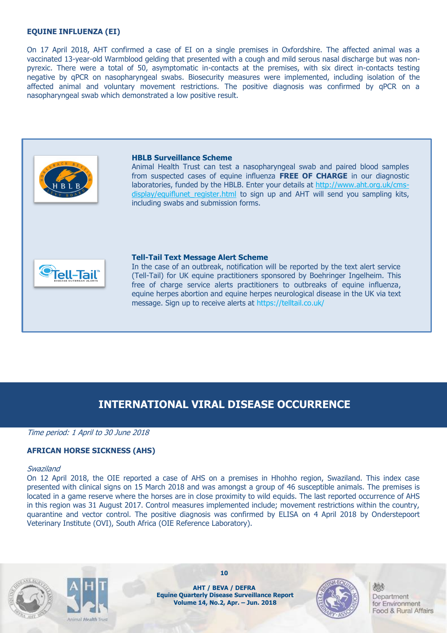#### **EQUINE INFLUENZA (EI)**

On 17 April 2018, AHT confirmed a case of EI on a single premises in Oxfordshire. The affected animal was a vaccinated 13-year-old Warmblood gelding that presented with a cough and mild serous nasal discharge but was nonpyrexic. There were a total of 50, asymptomatic in-contacts at the premises, with six direct in-contacts testing negative by qPCR on nasopharyngeal swabs. Biosecurity measures were implemented, including isolation of the affected animal and voluntary movement restrictions. The positive diagnosis was confirmed by qPCR on a nasopharyngeal swab which demonstrated a low positive result.



#### **HBLB Surveillance Scheme**

Animal Health Trust can test a nasopharyngeal swab and paired blood samples from suspected cases of equine influenza **FREE OF CHARGE** in our diagnostic laboratories, funded by the HBLB. Enter your details at [http://www.aht.org.uk/cms](http://www.aht.org.uk/cms-display/equiflunet_register.html)display/equiflunet register.html to sign up and AHT will send you sampling kits, including swabs and submission forms.



#### **Tell-Tail Text Message Alert Scheme**

In the case of an outbreak, notification will be reported by the text alert service (Tell-Tail) for UK equine practitioners sponsored by Boehringer Ingelheim. This free of charge service alerts practitioners to outbreaks of equine influenza, equine herpes abortion and equine herpes neurological disease in the UK via text message. Sign up to receive alerts at https://telltail.co.uk/

### **INTERNATIONAL VIRAL DISEASE OCCURRENCE**

Time period: 1 April to 30 June 2018

#### **AFRICAN HORSE SICKNESS (AHS)**

#### Swaziland

On 12 April 2018, the OIE reported a case of AHS on a premises in Hhohho region, Swaziland. This index case presented with clinical signs on 15 March 2018 and was amongst a group of 46 susceptible animals. The premises is located in a game reserve where the horses are in close proximity to wild equids. The last reported occurrence of AHS in this region was 31 August 2017. Control measures implemented include; movement restrictions within the country, quarantine and vector control. The positive diagnosis was confirmed by ELISA on 4 April 2018 by Onderstepoort Veterinary Institute (OVI), South Africa (OIE Reference Laboratory).





**AHT / BEVA / DEFRA Equine Quarterly Disease Surveillance Report Volume 14, No.2, Apr. – Jun. 2018**

**10**

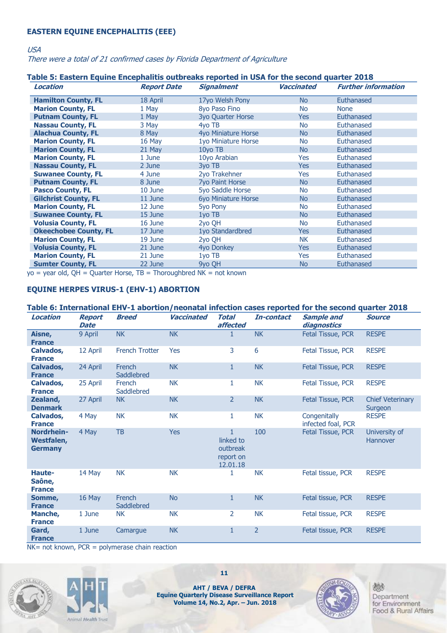#### **EASTERN EQUINE ENCEPHALITIS (EEE)**

USA

There were a total of 21 confirmed cases by Florida Department of Agriculture

#### **Table 5: Eastern Equine Encephalitis outbreaks reported in USA for the second quarter 2018**

| inia di Englandi Engenia Englandiana della cendi apprese in geritor lin codonie genitari Eded<br>Location | <b>Report Date</b> | <b>Signalment</b>      | Vaccinated     | <b>Further information</b> |
|-----------------------------------------------------------------------------------------------------------|--------------------|------------------------|----------------|----------------------------|
| <b>Hamilton County, FL</b>                                                                                | 18 April           | 17yo Welsh Pony        | N <sub>o</sub> | Euthanased                 |
| <b>Marion County, FL</b>                                                                                  | 1 May              | 8yo Paso Fino          | No             | <b>None</b>                |
| <b>Putnam County, FL</b>                                                                                  | 1 May              | 3yo Quarter Horse      | Yes            | Euthanased                 |
| <b>Nassau County, FL</b>                                                                                  | 3 May              | 4vo TB                 | No             | Euthanased                 |
| <b>Alachua County, FL</b>                                                                                 | 8 May              | 4yo Miniature Horse    | No             | Euthanased                 |
| <b>Marion County, FL</b>                                                                                  | 16 May             | 1yo Miniature Horse    | No             | Euthanased                 |
| <b>Marion County, FL</b>                                                                                  | 21 May             | 10yo TB                | N <sub>o</sub> | Euthanased                 |
| <b>Marion County, FL</b>                                                                                  | 1 June             | 10yo Arabian           | Yes            | Euthanased                 |
| <b>Nassau County, FL</b>                                                                                  | 2 June             | 3yo TB                 | Yes            | Euthanased                 |
| <b>Suwanee County, FL</b>                                                                                 | 4 June             | 2yo Trakehner          | Yes            | Euthanased                 |
| <b>Putnam County, FL</b>                                                                                  | 8 June             | <b>7yo Paint Horse</b> | No             | Euthanased                 |
| <b>Pasco County, FL</b>                                                                                   | 10 June            | 5yo Saddle Horse       | No             | Euthanased                 |
| <b>Gilchrist County, FL</b>                                                                               | 11 June            | 6yo Miniature Horse    | No             | Euthanased                 |
| <b>Marion County, FL</b>                                                                                  | 12 June            | 5yo Pony               | No             | Euthanased                 |
| <b>Suwanee County, FL</b>                                                                                 | 15 June            | 1yo TB                 | No             | Euthanased                 |
| <b>Volusia County, FL</b>                                                                                 | 16 June            | 2yo QH                 | No             | Euthanased                 |
| <b>Okeechobee County, FL</b>                                                                              | 17 June            | 1yo Standardbred       | Yes            | Euthanased                 |
| <b>Marion County, FL</b>                                                                                  | 19 June            | 2yo QH                 | NK.            | Euthanased                 |
| <b>Volusia County, FL</b>                                                                                 | 21 June            | 4yo Donkey             | Yes            | Euthanased                 |
| <b>Marion County, FL</b>                                                                                  | 21 June            | 1yo TB                 | Yes            | Euthanased                 |
| <b>Sumter County, FL</b>                                                                                  | 22 June            | 9yo QH                 | No             | Euthanased                 |

 $y_0$  = year old, QH = Quarter Horse, TB = Thoroughbred NK = not known

#### **EQUINE HERPES VIRUS-1 (EHV-1) ABORTION**

#### **Table 6: International EHV-1 abortion/neonatal infection cases reported for the second quarter 2018**

| <b>Location</b>                            | <b>Report</b><br><b>Date</b> | <b>Breed</b>          | Vaccinated | <b>Total</b><br>affected                                       | In-contact     | <b>Sample and</b><br>diagnostics   | <b>Source</b>                      |
|--------------------------------------------|------------------------------|-----------------------|------------|----------------------------------------------------------------|----------------|------------------------------------|------------------------------------|
| Aisne,<br><b>France</b>                    | 9 April                      | <b>NK</b>             | <b>NK</b>  | $\mathbf{1}$                                                   | <b>NK</b>      | Fetal Tissue, PCR                  | <b>RESPE</b>                       |
| Calvados,<br><b>France</b>                 | 12 April                     | <b>French Trotter</b> | Yes        | 3                                                              | 6              | Fetal Tissue, PCR                  | <b>RESPE</b>                       |
| Calvados,<br><b>France</b>                 | 24 April                     | French<br>Saddlebred  | <b>NK</b>  | $\mathbf{1}$                                                   | <b>NK</b>      | Fetal Tissue, PCR                  | <b>RESPE</b>                       |
| Calvados,<br><b>France</b>                 | 25 April                     | French<br>Saddlebred  | <b>NK</b>  | 1                                                              | <b>NK</b>      | Fetal Tissue, PCR                  | <b>RESPE</b>                       |
| Zealand,<br><b>Denmark</b>                 | 27 April                     | <b>NK</b>             | <b>NK</b>  | $\overline{2}$                                                 | <b>NK</b>      | Fetal Tissue, PCR                  | <b>Chief Veterinary</b><br>Surgeon |
| Calvados,<br><b>France</b>                 | 4 May                        | <b>NK</b>             | <b>NK</b>  | 1                                                              | <b>NK</b>      | Congenitally<br>infected foal, PCR | <b>RESPE</b>                       |
| Nordrhein-<br>Westfalen,<br><b>Germany</b> | 4 May                        | <b>TB</b>             | <b>Yes</b> | $\mathbf{1}$<br>linked to<br>outbreak<br>report on<br>12.01.18 | 100            | <b>Fetal Tissue, PCR</b>           | University of<br><b>Hannover</b>   |
| Haute-<br>Saône,<br><b>France</b>          | 14 May                       | <b>NK</b>             | <b>NK</b>  |                                                                | <b>NK</b>      | Fetal tissue, PCR                  | <b>RESPE</b>                       |
| Somme,<br><b>France</b>                    | 16 May                       | French<br>Saddlebred  | <b>No</b>  | $\mathbf{1}$                                                   | <b>NK</b>      | Fetal tissue, PCR                  | <b>RESPE</b>                       |
| Manche,<br><b>France</b>                   | 1 June                       | <b>NK</b>             | <b>NK</b>  | 2                                                              | <b>NK</b>      | Fetal tissue, PCR                  | <b>RESPE</b>                       |
| Gard,<br><b>France</b>                     | 1 June                       | Camarque              | <b>NK</b>  | $\mathbf{1}$                                                   | $\overline{2}$ | Fetal tissue, PCR                  | <b>RESPE</b>                       |

 $NK = not known$ ,  $PCR = polymerase chain reaction$ 





**AHT / BEVA / DEFRA Equine Quarterly Disease Surveillance Report Volume 14, No.2, Apr. – Jun. 2018**

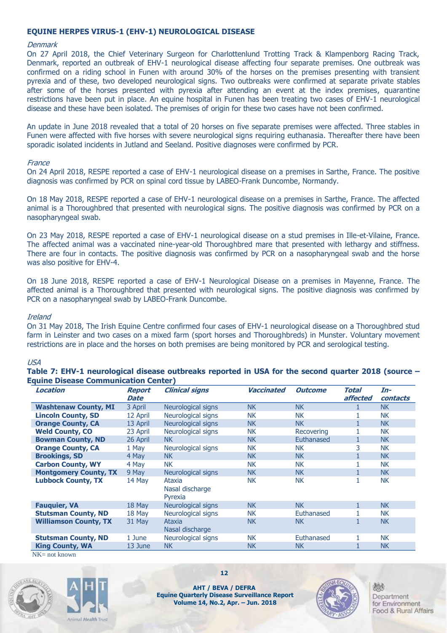#### **EQUINE HERPES VIRUS-1 (EHV-1) NEUROLOGICAL DISEASE**

#### **Denmark**

On 27 April 2018, the Chief Veterinary Surgeon for Charlottenlund Trotting Track & Klampenborg Racing Track, Denmark, reported an outbreak of EHV-1 neurological disease affecting four separate premises. One outbreak was confirmed on a riding school in Funen with around 30% of the horses on the premises presenting with transient pyrexia and of these, two developed neurological signs. Two outbreaks were confirmed at separate private stables after some of the horses presented with pyrexia after attending an event at the index premises, quarantine restrictions have been put in place. An equine hospital in Funen has been treating two cases of EHV-1 neurological disease and these have been isolated. The premises of origin for these two cases have not been confirmed.

An update in June 2018 revealed that a total of 20 horses on five separate premises were affected. Three stables in Funen were affected with five horses with severe neurological signs requiring euthanasia. Thereafter there have been sporadic isolated incidents in Jutland and Seeland. Positive diagnoses were confirmed by PCR.

#### France

On 24 April 2018, RESPE reported a case of EHV-1 neurological disease on a premises in Sarthe, France. The positive diagnosis was confirmed by PCR on spinal cord tissue by LABEO-Frank Duncombe, Normandy.

On 18 May 2018, RESPE reported a case of EHV-1 neurological disease on a premises in Sarthe, France. The affected animal is a Thoroughbred that presented with neurological signs. The positive diagnosis was confirmed by PCR on a nasopharyngeal swab.

On 23 May 2018, RESPE reported a case of EHV-1 neurological disease on a stud premises in Ille-et-Vilaine, France. The affected animal was a vaccinated nine-year-old Thoroughbred mare that presented with lethargy and stiffness. There are four in contacts. The positive diagnosis was confirmed by PCR on a nasopharyngeal swab and the horse was also positive for EHV-4.

On 18 June 2018, RESPE reported a case of EHV-1 Neurological Disease on a premises in Mayenne, France. The affected animal is a Thoroughbred that presented with neurological signs. The positive diagnosis was confirmed by PCR on a nasopharyngeal swab by LABEO-Frank Duncombe.

#### Ireland

On 31 May 2018, The Irish Equine Centre confirmed four cases of EHV-1 neurological disease on a Thoroughbred stud farm in Leinster and two cases on a mixed farm (sport horses and Thoroughbreds) in Munster. Voluntary movement restrictions are in place and the horses on both premises are being monitored by PCR and serological testing.

#### USA

**Table 7: EHV-1 neurological disease outbreaks reported in USA for the second quarter 2018 (source – Equine Disease Communication Center)**

| Location                     | Report   | <b>Clinical signs</b>                | <b>Vaccinated</b> | <b>Outcome</b> | Total    | In-       |
|------------------------------|----------|--------------------------------------|-------------------|----------------|----------|-----------|
|                              | Date     |                                      |                   |                | affected | contacts  |
| <b>Washtenaw County, MI</b>  | 3 April  | Neurological signs                   | <b>NK</b>         | <b>NK</b>      |          | <b>NK</b> |
| <b>Lincoln County, SD</b>    | 12 April | Neurological signs                   | <b>NK</b>         | <b>NK</b>      |          | <b>NK</b> |
| <b>Orange County, CA</b>     | 13 April | Neurological signs                   | <b>NK</b>         | <b>NK</b>      |          | <b>NK</b> |
| <b>Weld County, CO</b>       | 23 April | Neurological signs                   | <b>NK</b>         | Recovering     |          | <b>NK</b> |
| <b>Bowman County, ND</b>     | 26 April | NK.                                  | <b>NK</b>         | Euthanased     |          | <b>NK</b> |
| <b>Orange County, CA</b>     | 1 May    | Neurological signs                   | <b>NK</b>         | <b>NK</b>      | 3        | <b>NK</b> |
| <b>Brookings, SD</b>         | 4 May    | NK                                   | <b>NK</b>         | <b>NK</b>      |          | <b>NK</b> |
| <b>Carbon County, WY</b>     | 4 May    | <b>NK</b>                            | <b>NK</b>         | <b>NK</b>      |          | <b>NK</b> |
| <b>Montgomery County, TX</b> | 9 May    | Neurological signs                   | <b>NK</b>         | <b>NK</b>      |          | <b>NK</b> |
| <b>Lubbock County, TX</b>    | 14 May   | Ataxia<br>Nasal discharge<br>Pyrexia | <b>NK</b>         | <b>NK</b>      |          | <b>NK</b> |
| <b>Fauquier, VA</b>          | 18 May   | Neurological signs                   | <b>NK</b>         | <b>NK</b>      |          | <b>NK</b> |
| <b>Stutsman County, ND</b>   | 18 May   | Neurological signs                   | <b>NK</b>         | Euthanased     |          | <b>NK</b> |
| <b>Williamson County, TX</b> | 31 May   | Ataxia<br>Nasal discharge            | <b>NK</b>         | <b>NK</b>      |          | <b>NK</b> |
| <b>Stutsman County, ND</b>   | 1 June   | Neurological signs                   | <b>NK</b>         | Euthanased     |          | <b>NK</b> |
| <b>King County, WA</b>       | 13 June  | <b>NK</b>                            | <b>NK</b>         | <b>NK</b>      |          | <b>NK</b> |

NK= not known





**12**

**AHT / BEVA / DEFRA Equine Quarterly Disease Surveillance Report Volume 14, No.2, Apr. – Jun. 2018**

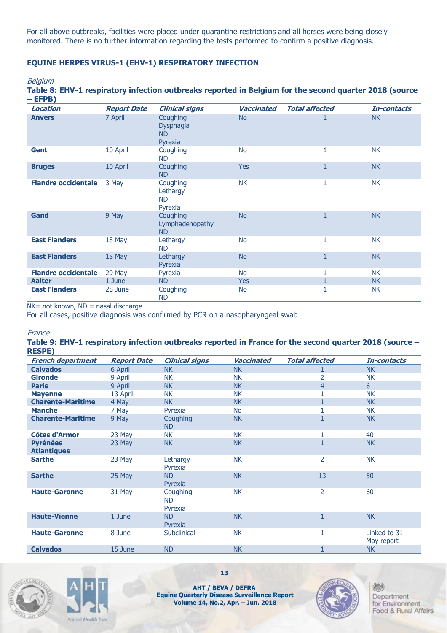For all above outbreaks, facilities were placed under quarantine restrictions and all horses were being closely monitored. There is no further information regarding the tests performed to confirm a positive diagnosis.

#### **EQUINE HERPES VIRUS-1 (EHV-1) RESPIRATORY INFECTION**

#### **Belgium**

**Table 8: EHV-1 respiratory infection outbreaks reported in Belgium for the second quarter 2018 (source – EFPB)**

| Location                   | <b>Report Date</b> | <b>Clinical signs</b>                        | <b>Vaccinated</b> | <b>Total affected</b> | In-contacts |
|----------------------------|--------------------|----------------------------------------------|-------------------|-----------------------|-------------|
| <b>Anvers</b>              | 7 April            | Coughing<br>Dysphagia<br>ND<br>Pyrexia       | <b>No</b>         | T                     | <b>NK</b>   |
| <b>Gent</b>                | 10 April           | Coughing<br><b>ND</b>                        | <b>No</b>         | 1                     | <b>NK</b>   |
| <b>Bruges</b>              | 10 April           | Coughing<br><b>ND</b>                        | <b>Yes</b>        | $\mathbf{1}$          | <b>NK</b>   |
| <b>Flandre occidentale</b> | 3 May              | Coughing<br>Lethargy<br><b>ND</b><br>Pyrexia | <b>NK</b>         | 1                     | <b>NK</b>   |
| Gand                       | 9 May              | Coughing<br>Lymphadenopathy<br><b>ND</b>     | <b>No</b>         | $\mathbf{1}$          | <b>NK</b>   |
| <b>East Flanders</b>       | 18 May             | Lethargy<br><b>ND</b>                        | <b>No</b>         | 1                     | <b>NK</b>   |
| <b>East Flanders</b>       | 18 May             | Lethargy<br>Pyrexia                          | <b>No</b>         | $\mathbf{1}$          | <b>NK</b>   |
| <b>Flandre occidentale</b> | 29 May             | Pyrexia                                      | <b>No</b>         | 1                     | <b>NK</b>   |
| <b>Aalter</b>              | 1 June             | <b>ND</b>                                    | Yes               |                       | <b>NK</b>   |
| <b>East Flanders</b>       | 28 June            | Coughing<br><b>ND</b>                        | <b>No</b>         | 1                     | <b>NK</b>   |

NK= not known, ND = nasal discharge

For all cases, positive diagnosis was confirmed by PCR on a nasopharyngeal swab

#### **France**

#### **Table 9: EHV-1 respiratory infection outbreaks reported in France for the second quarter 2018 (source – RESPE)**

| <b>French department</b>              | <b>Report Date</b> | <b>Clinical signs</b>            | <b>Vaccinated</b> | <b>Total affected</b> | In-contacts                |
|---------------------------------------|--------------------|----------------------------------|-------------------|-----------------------|----------------------------|
| <b>Calvados</b>                       | 6 April            | <b>NK</b>                        | <b>NK</b>         |                       | <b>NK</b>                  |
| <b>Gironde</b>                        | 9 April            | <b>NK</b>                        | <b>NK</b>         | 2                     | <b>NK</b>                  |
| <b>Paris</b>                          | 9 April            | <b>NK</b>                        | <b>NK</b>         | $\overline{4}$        | 6                          |
| <b>Mayenne</b>                        | 13 April           | <b>NK</b>                        | <b>NK</b>         |                       | <b>NK</b>                  |
| <b>Charente-Maritime</b>              | 4 May              | <b>NK</b>                        | <b>NK</b>         |                       | <b>NK</b>                  |
| <b>Manche</b>                         | 7 May              | Pyrexia                          | <b>No</b>         |                       | NK.                        |
| <b>Charente-Maritime</b>              | 9 May              | Coughing<br><b>ND</b>            | <b>NK</b>         |                       | <b>NK</b>                  |
| Côtes d'Armor                         | 23 May             | <b>NK</b>                        | <b>NK</b>         |                       | 40                         |
| <b>Pyrénées</b><br><b>Atlantiques</b> | 23 May             | <b>NK</b>                        | <b>NK</b>         | $\mathbf{1}$          | <b>NK</b>                  |
| <b>Sarthe</b>                         | 23 May             | Lethargy<br>Pyrexia              | <b>NK</b>         | 2                     | <b>NK</b>                  |
| <b>Sarthe</b>                         | 25 May             | <b>ND</b><br>Pyrexia             | <b>NK</b>         | 13                    | 50                         |
| <b>Haute-Garonne</b>                  | 31 May             | Coughing<br><b>ND</b><br>Pyrexia | <b>NK</b>         | 2                     | 60                         |
| <b>Haute-Vienne</b>                   | 1 June             | <b>ND</b><br>Pyrexia             | <b>NK</b>         |                       | <b>NK</b>                  |
| <b>Haute-Garonne</b>                  | 8 June             | Subclinical                      | <b>NK</b>         | 1                     | Linked to 31<br>May report |
| <b>Calvados</b>                       | 15 June            | <b>ND</b>                        | <b>NK</b>         |                       | <b>NK</b>                  |





**13**

**AHT / BEVA / DEFRA Equine Quarterly Disease Surveillance Report Volume 14, No.2, Apr. – Jun. 2018**

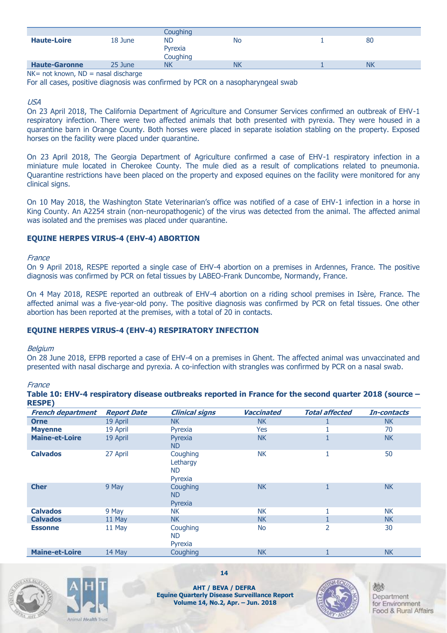|                      |         | Coughing                         |           |           |
|----------------------|---------|----------------------------------|-----------|-----------|
| <b>Haute-Loire</b>   | 18 June | <b>ND</b><br>Pyrexia<br>Coughing | <b>No</b> | 80        |
| <b>Haute-Garonne</b> | 25 June | <b>NK</b>                        | <b>NK</b> | <b>NK</b> |

 $NK = not known$ ,  $ND = nasal$  discharge

For all cases, positive diagnosis was confirmed by PCR on a nasopharyngeal swab

USA

On 23 April 2018, The California Department of Agriculture and Consumer Services confirmed an outbreak of EHV-1 respiratory infection. There were two affected animals that both presented with pyrexia. They were housed in a quarantine barn in Orange County. Both horses were placed in separate isolation stabling on the property. Exposed horses on the facility were placed under quarantine.

On 23 April 2018, The Georgia Department of Agriculture confirmed a case of EHV-1 respiratory infection in a miniature mule located in Cherokee County. The mule died as a result of complications related to pneumonia. Quarantine restrictions have been placed on the property and exposed equines on the facility were monitored for any clinical signs.

On 10 May 2018, the Washington State Veterinarian's office was notified of a case of EHV-1 infection in a horse in King County. An A2254 strain (non-neuropathogenic) of the virus was detected from the animal. The affected animal was isolated and the premises was placed under quarantine.

#### **EQUINE HERPES VIRUS-4 (EHV-4) ABORTION**

#### France

On 9 April 2018, RESPE reported a single case of EHV-4 abortion on a premises in Ardennes, France. The positive diagnosis was confirmed by PCR on fetal tissues by LABEO-Frank Duncombe, Normandy, France.

On 4 May 2018, RESPE reported an outbreak of EHV-4 abortion on a riding school premises in Isère, France. The affected animal was a five-year-old pony. The positive diagnosis was confirmed by PCR on fetal tissues. One other abortion has been reported at the premises, with a total of 20 in contacts.

#### **EQUINE HERPES VIRUS-4 (EHV-4) RESPIRATORY INFECTION**

#### Belgium

On 28 June 2018, EFPB reported a case of EHV-4 on a premises in Ghent. The affected animal was unvaccinated and presented with nasal discharge and pyrexia. A co-infection with strangles was confirmed by PCR on a nasal swab.

**France** 

| <b>RESPE)</b>            |                    |                                              |                   |                       |             |
|--------------------------|--------------------|----------------------------------------------|-------------------|-----------------------|-------------|
| <b>French department</b> | <b>Report Date</b> | <b>Clinical signs</b>                        | <b>Vaccinated</b> | <b>Total affected</b> | In-contacts |
| <b>Orne</b>              | 19 April           | <b>NK</b>                                    | NK.               |                       | NK.         |
| <b>Mayenne</b>           | 19 April           | Pyrexia                                      | Yes               |                       | 70          |
| <b>Maine-et-Loire</b>    | 19 April           | Pyrexia<br><b>ND</b>                         | <b>NK</b>         |                       | <b>NK</b>   |
| <b>Calvados</b>          | 27 April           | Coughing<br>Lethargy<br><b>ND</b><br>Pyrexia | <b>NK</b>         |                       | 50          |
| <b>Cher</b>              | 9 May              | Coughing<br><b>ND</b><br>Pyrexia             | <b>NK</b>         |                       | <b>NK</b>   |
| <b>Calvados</b>          | 9 May              | <b>NK</b>                                    | <b>NK</b>         |                       | <b>NK</b>   |
| <b>Calvados</b>          | 11 May             | <b>NK</b>                                    | <b>NK</b>         |                       | <b>NK</b>   |
| <b>Essonne</b>           | 11 May             | Coughing<br><b>ND</b><br>Pyrexia             | <b>No</b>         | $\overline{2}$        | 30          |
| <b>Maine-et-Loire</b>    | 14 May             | Coughing                                     | <b>NK</b>         |                       | <b>NK</b>   |







**14**

**AHT / BEVA / DEFRA Equine Quarterly Disease Surveillance Report Volume 14, No.2, Apr. – Jun. 2018**

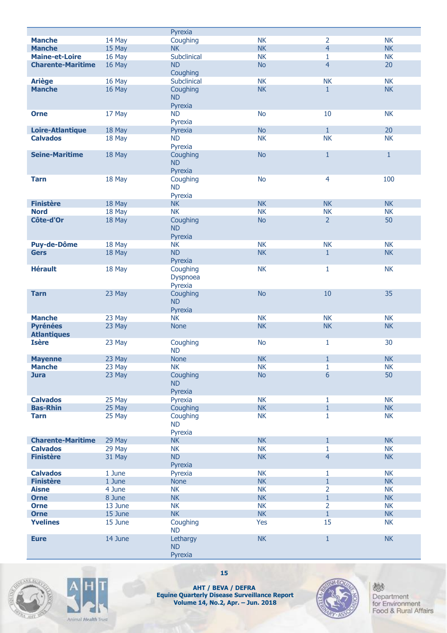|                          |         | Pyrexia              |           |                |           |
|--------------------------|---------|----------------------|-----------|----------------|-----------|
| <b>Manche</b>            | 14 May  | Coughing             | <b>NK</b> | $\overline{2}$ | <b>NK</b> |
| <b>Manche</b>            | 15 May  | <b>NK</b>            | <b>NK</b> | $\overline{4}$ | <b>NK</b> |
| <b>Maine-et-Loire</b>    | 16 May  | Subclinical          | <b>NK</b> | 1              | <b>NK</b> |
| <b>Charente-Maritime</b> | 16 May  | <b>ND</b>            | <b>No</b> | $\overline{4}$ | 20        |
|                          |         | Coughing             |           |                |           |
| <b>Ariège</b>            | 16 May  | Subclinical          | <b>NK</b> | <b>NK</b>      | <b>NK</b> |
| <b>Manche</b>            | 16 May  | Coughing             | <b>NK</b> | $\mathbf{1}$   | <b>NK</b> |
|                          |         | <b>ND</b>            |           |                |           |
|                          |         | Pyrexia              |           |                |           |
| <b>Orne</b>              | 17 May  | <b>ND</b>            | <b>No</b> | 10             | <b>NK</b> |
|                          |         | Pyrexia              |           |                |           |
| <b>Loire-Atlantique</b>  | 18 May  | Pyrexia              | <b>No</b> | $\mathbf{1}$   | 20        |
| <b>Calvados</b>          | 18 May  | <b>ND</b>            | <b>NK</b> | <b>NK</b>      | <b>NK</b> |
| <b>Seine-Maritime</b>    |         | Pyrexia              |           |                | $1\,$     |
|                          | 18 May  | Coughing             | <b>No</b> | $\mathbf{1}$   |           |
|                          |         | <b>ND</b><br>Pyrexia |           |                |           |
| <b>Tarn</b>              | 18 May  | Coughing             | <b>No</b> | $\overline{4}$ | 100       |
|                          |         | <b>ND</b>            |           |                |           |
|                          |         | Pyrexia              |           |                |           |
| <b>Finistère</b>         | 18 May  | <b>NK</b>            | <b>NK</b> | <b>NK</b>      | <b>NK</b> |
| <b>Nord</b>              | 18 May  | <b>NK</b>            | <b>NK</b> | <b>NK</b>      | <b>NK</b> |
| Côte-d'Or                | 18 May  | Coughing             | <b>No</b> | $\overline{2}$ | 50        |
|                          |         | <b>ND</b>            |           |                |           |
|                          |         | Pyrexia              |           |                |           |
| <b>Puy-de-Dôme</b>       | 18 May  | <b>NK</b>            | <b>NK</b> | <b>NK</b>      | <b>NK</b> |
| <b>Gers</b>              | 18 May  | <b>ND</b>            | <b>NK</b> | $\mathbf{1}$   | <b>NK</b> |
|                          |         | Pyrexia              |           |                |           |
| <b>Hérault</b>           | 18 May  | Coughing             | <b>NK</b> | $\mathbf{1}$   | NK        |
|                          |         | Dyspnoea             |           |                |           |
|                          |         | Pyrexia              |           |                |           |
| <b>Tarn</b>              | 23 May  | Coughing             | <b>No</b> | 10             | 35        |
|                          |         | <b>ND</b>            |           |                |           |
|                          |         | Pyrexia              |           |                |           |
| <b>Manche</b>            | 23 May  | <b>NK</b>            | <b>NK</b> | <b>NK</b>      | <b>NK</b> |
| <b>Pyrénées</b>          | 23 May  | <b>None</b>          | <b>NK</b> | <b>NK</b>      | <b>NK</b> |
| <b>Atlantiques</b>       |         |                      |           |                |           |
| <b>Isère</b>             | 23 May  | Coughing             | <b>No</b> | 1              | 30        |
|                          |         | <b>ND</b>            |           |                |           |
| <b>Mayenne</b>           | 23 May  | <b>None</b>          | <b>NK</b> | $\mathbf{1}$   | <b>NK</b> |
| <b>Manche</b>            | 23 May  | <b>NK</b>            | NK        | 1              | NK        |
| <b>Jura</b>              | 23 May  | Coughing             | <b>No</b> | 6              | 50        |
|                          |         | <b>ND</b>            |           |                |           |
| <b>Calvados</b>          | 25 May  | Pyrexia<br>Pyrexia   | <b>NK</b> | 1              | <b>NK</b> |
| <b>Bas-Rhin</b>          | 25 May  | Coughing             | <b>NK</b> | $\mathbf{1}$   | NK        |
| <b>Tarn</b>              | 25 May  | Coughing             | <b>NK</b> | 1              | <b>NK</b> |
|                          |         | <b>ND</b>            |           |                |           |
|                          |         | Pyrexia              |           |                |           |
| <b>Charente-Maritime</b> | 29 May  | NK                   | <b>NK</b> | $\mathbf{1}$   | NK        |
| <b>Calvados</b>          | 29 May  | <b>NK</b>            | <b>NK</b> | 1              | <b>NK</b> |
| <b>Finistère</b>         | 31 May  | <b>ND</b>            | <b>NK</b> | $\overline{4}$ | <b>NK</b> |
|                          |         | Pyrexia              |           |                |           |
| <b>Calvados</b>          | 1 June  | Pyrexia              | <b>NK</b> | 1              | <b>NK</b> |
| <b>Finistère</b>         | 1 June  | <b>None</b>          | <b>NK</b> | $\mathbf{1}$   | <b>NK</b> |
| <b>Aisne</b>             | 4 June  | <b>NK</b>            | <b>NK</b> | $\overline{2}$ | <b>NK</b> |
| <b>Orne</b>              | 8 June  | <b>NK</b>            | <b>NK</b> | $\mathbf{1}$   | <b>NK</b> |
| <b>Orne</b>              | 13 June | <b>NK</b>            | <b>NK</b> | $\overline{2}$ | <b>NK</b> |
| <b>Orne</b>              | 15 June | <b>NK</b>            | <b>NK</b> | $\mathbf{1}$   | NK        |
| <b>Yvelines</b>          | 15 June | Coughing             | Yes       | 15             | <b>NK</b> |
|                          |         | <b>ND</b>            |           |                |           |
| <b>Eure</b>              | 14 June | Lethargy             | NK        | $\mathbf{1}$   | <b>NK</b> |
|                          |         | <b>ND</b>            |           |                |           |
|                          |         | Pyrexia              |           |                |           |





**15**

**AHT / BEVA / DEFRA Equine Quarterly Disease Surveillance Repor t Volume 14, No.2, Apr. – Jun. 2018**

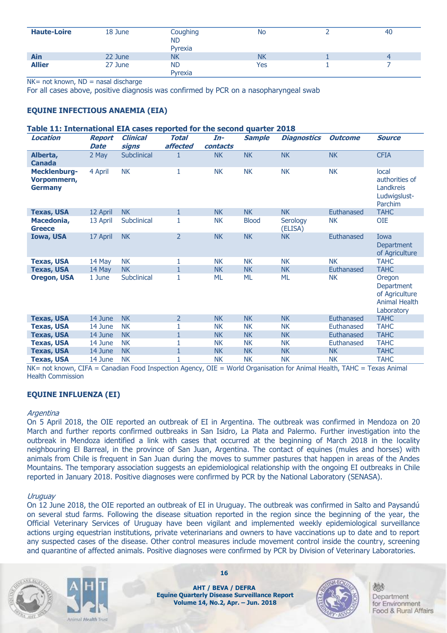| <b>Haute-Loire</b> | 18 June | Coughing<br><b>ND</b><br>Pyrexia | No        | 40 |
|--------------------|---------|----------------------------------|-----------|----|
| Ain                | 22 June | <b>NK</b>                        | <b>NK</b> |    |
| <b>Allier</b>      | 27 June | <b>ND</b><br>Pyrexia             | Yes       |    |

 $NK = not known$ ,  $ND =$  nasal discharge

For all cases above, positive diagnosis was confirmed by PCR on a nasopharyngeal swab

#### **EQUINE INFECTIOUS ANAEMIA (EIA)**

#### **Table 11: International EIA cases reported for the second quarter 2018**

| Location                                      | <b>Report</b><br><b>Date</b> | <b>Clinical</b><br>signs | <b>Total</b><br>affected | In-<br>contacts | <b>Sample</b> | <b>Diagnostics</b>  | <b>Outcome</b> | <b>Source</b>                                                                |
|-----------------------------------------------|------------------------------|--------------------------|--------------------------|-----------------|---------------|---------------------|----------------|------------------------------------------------------------------------------|
| Alberta,<br><b>Canada</b>                     | 2 May                        | Subclinical              | 1                        | <b>NK</b>       | <b>NK</b>     | <b>NK</b>           | <b>NK</b>      | <b>CFIA</b>                                                                  |
| Mecklenburg-<br>Vorpommern,<br><b>Germany</b> | 4 April                      | <b>NK</b>                | 1                        | <b>NK</b>       | <b>NK</b>     | <b>NK</b>           | <b>NK</b>      | local<br>authorities of<br>Landkreis<br>Ludwigslust-<br>Parchim              |
| <b>Texas, USA</b>                             | 12 April                     | <b>NK</b>                | $\mathbf{1}$             | <b>NK</b>       | <b>NK</b>     | <b>NK</b>           | Euthanased     | <b>TAHC</b>                                                                  |
| Macedonia,<br><b>Greece</b>                   | 13 April                     | Subclinical              | 1                        | <b>NK</b>       | <b>Blood</b>  | Serology<br>(ELISA) | <b>NK</b>      | <b>OIE</b>                                                                   |
| <b>Iowa, USA</b>                              | 17 April                     | <b>NK</b>                | $\overline{2}$           | <b>NK</b>       | <b>NK</b>     | <b>NK</b>           | Euthanased     | Iowa<br>Department<br>of Agriculture                                         |
| <b>Texas, USA</b>                             | 14 May                       | <b>NK</b>                | 1                        | <b>NK</b>       | <b>NK</b>     | <b>NK</b>           | <b>NK</b>      | <b>TAHC</b>                                                                  |
| <b>Texas, USA</b>                             | 14 May                       | <b>NK</b>                | $\mathbf{1}$             | <b>NK</b>       | <b>NK</b>     | <b>NK</b>           | Euthanased     | <b>TAHC</b>                                                                  |
| <b>Oregon, USA</b>                            | 1 June                       | Subclinical              | 1                        | ML              | <b>ML</b>     | <b>ML</b>           | <b>NK</b>      | Oregon<br>Department<br>of Agriculture<br><b>Animal Health</b><br>Laboratory |
| <b>Texas, USA</b>                             | 14 June                      | <b>NK</b>                | $\overline{2}$           | <b>NK</b>       | <b>NK</b>     | <b>NK</b>           | Euthanased     | <b>TAHC</b>                                                                  |
| <b>Texas, USA</b>                             | 14 June                      | <b>NK</b>                | 1                        | <b>NK</b>       | <b>NK</b>     | <b>NK</b>           | Euthanased     | <b>TAHC</b>                                                                  |
| <b>Texas, USA</b>                             | 14 June                      | <b>NK</b>                | $\mathbf{1}$             | <b>NK</b>       | <b>NK</b>     | <b>NK</b>           | Euthanased     | <b>TAHC</b>                                                                  |
| <b>Texas, USA</b>                             | 14 June                      | <b>NK</b>                | 1                        | <b>NK</b>       | <b>NK</b>     | <b>NK</b>           | Euthanased     | <b>TAHC</b>                                                                  |
| <b>Texas, USA</b>                             | 14 June                      | <b>NK</b>                | $\mathbf{1}$             | <b>NK</b>       | <b>NK</b>     | <b>NK</b>           | <b>NK</b>      | <b>TAHC</b>                                                                  |
| <b>Texas, USA</b>                             | 14 June                      | <b>NK</b>                | $\mathbf{1}$             | <b>NK</b>       | <b>NK</b>     | <b>NK</b>           | <b>NK</b>      | <b>TAHC</b>                                                                  |

NK= not known, CIFA = Canadian Food Inspection Agency, OIE = World Organisation for Animal Health, TAHC = Texas Animal Health Commission

#### **EQUINE INFLUENZA (EI)**

#### **Argentina**

On 5 April 2018, the OIE reported an outbreak of EI in Argentina. The outbreak was confirmed in Mendoza on 20 March and further reports confirmed outbreaks in San Isidro, La Plata and Palermo. Further investigation into the outbreak in Mendoza identified a link with cases that occurred at the beginning of March 2018 in the locality neighbouring El Barreal, in the province of San Juan, Argentina. The contact of equines (mules and horses) with animals from Chile is frequent in San Juan during the moves to summer pastures that happen in areas of the Andes Mountains. The temporary association suggests an epidemiological relationship with the ongoing EI outbreaks in Chile reported in January 2018. Positive diagnoses were confirmed by PCR by the National Laboratory (SENASA).

#### Uruguay

On 12 June 2018, the OIE reported an outbreak of EI in Uruguay. The outbreak was confirmed in Salto and Paysandú on several stud farms. Following the disease situation reported in the region since the beginning of the year, the Official Veterinary Services of Uruguay have been vigilant and implemented weekly epidemiological surveillance actions urging equestrian institutions, private veterinarians and owners to have vaccinations up to date and to report any suspected cases of the disease. Other control measures include movement control inside the country, screening and quarantine of affected animals. Positive diagnoses were confirmed by PCR by Division of Veterinary Laboratories.





**16**

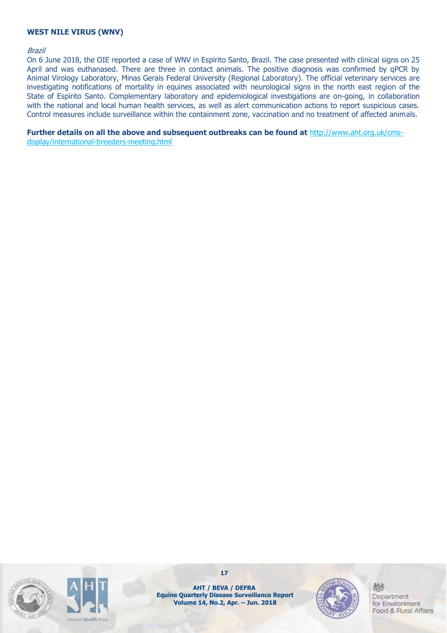#### **WEST NILE VIRUS (WNV)**

#### Brazil

On 6 June 2018, the OIE reported a case of WNV in Espirito Santo, Brazil. The case presented with clinical signs on 25 April and was euthanased. There are three in contact animals. The positive diagnosis was confirmed by qPCR by Animal Virology Laboratory, Minas Gerais Federal University (Regional Laboratory). The official veterinary services are investigating notifications of mortality in equines associated with neurological signs in the north east region of the State of Espirito Santo. Complementary laboratory and epidemiological investigations are on-going, in collaboration with the national and local human health services, as well as alert communication actions to report suspicious cases. Control measures include surveillance within the containment zone, vaccination and no treatment of affected animals.

**Further details on all the above and subsequent outbreaks can be found at** http://www.aht.org.uk/cmsdisplay/international-breeders-meeting.html





**AHT / BEVA / DEFRA Equine Quarterly Disease Surveillance Report Volume 14, No.2, Apr. – Jun. 2018**

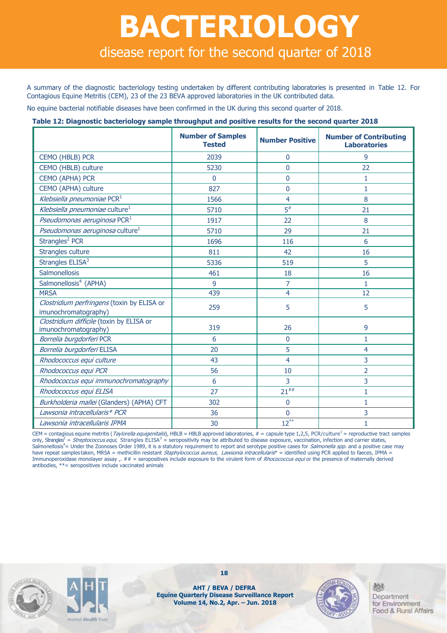## **BACTERIOLOGY** disease report for the second quarter of 2018

A summary of the diagnostic bacteriology testing undertaken by different contributing laboratories is presented in Table 12. For Contagious Equine Metritis (CEM), 23 of the 23 BEVA approved laboratories in the UK contributed data.

No equine bacterial notifiable diseases have been confirmed in the UK during this second quarter of 2018.

#### **Table 12: Diagnostic bacteriology sample throughput and positive results for the second quarter 2018**

|                                                                    | <b>Number of Samples</b><br><b>Tested</b> | <b>Number Positive</b> | <b>Number of Contributing</b><br><b>Laboratories</b> |
|--------------------------------------------------------------------|-------------------------------------------|------------------------|------------------------------------------------------|
| CEMO (HBLB) PCR                                                    | 2039                                      | 0                      | 9                                                    |
| CEMO (HBLB) culture                                                | 5230                                      | 0                      | 22                                                   |
| CEMO (APHA) PCR                                                    | $\mathbf{0}$                              | 0                      | 1                                                    |
| CEMO (APHA) culture                                                | 827                                       | $\mathbf{0}$           | 1                                                    |
| Klebsiella pneumoniae PCR <sup>1</sup>                             | 1566                                      | $\overline{4}$         | 8                                                    |
| Klebsiella pneumoniae culture <sup>1</sup>                         | 5710                                      | $\overline{5}$ #       | 21                                                   |
| Pseudomonas aeruginosa PCR <sup>1</sup>                            | 1917                                      | 22                     | 8                                                    |
| Pseudomonas aeruginosa culture <sup>1</sup>                        | 5710                                      | 29                     | 21                                                   |
| Strangles <sup>2</sup> PCR                                         | 1696                                      | 116                    | 6                                                    |
| Strangles culture                                                  | 811                                       | 42                     | 16                                                   |
| Strangles ELISA <sup>3</sup>                                       | 5336                                      | 519                    | 5                                                    |
| Salmonellosis                                                      | 461                                       | 18                     | 16                                                   |
| Salmonellosis <sup>4</sup> (APHA)                                  | 9                                         | 7                      | $\mathbf{1}$                                         |
| <b>MRSA</b>                                                        | 439                                       | 4                      | 12                                                   |
| Clostridium perfringens (toxin by ELISA or<br>imunochromatography) | 259                                       | 5                      | 5                                                    |
| Clostridium difficile (toxin by ELISA or<br>imunochromatography)   | 319                                       | 26                     | 9                                                    |
| Borrelia burgdorferi PCR                                           | 6                                         | 0                      | 1                                                    |
| Borrelia burgdorferi ELISA                                         | 20                                        | 5                      | $\overline{4}$                                       |
| Rhodococcus equi culture                                           | 43                                        | 4                      | 3                                                    |
| Rhodococcus equi PCR                                               | 56                                        | 10                     | $\overline{2}$                                       |
| Rhodococcus equi immunochromatography                              | 6                                         | 3                      | 3                                                    |
| Rhodococcus equi ELISA                                             | 27                                        | $21^{##}$              | 1                                                    |
| Burkholderia mallei (Glanders) (APHA) CFT                          | 302                                       | $\mathbf{0}$           | 1                                                    |
| Lawsonia intracellularis* PCR                                      | 36                                        | $\mathbf 0$            | 3                                                    |
| Lawsonia intracellularis IPMA                                      | 30                                        | $12***$                | 1                                                    |

CEM = contagious equine metritis (Taylorella equigenitalis), HBLB = HBLB approved laboratories, # = capsule type 1,2,5, PCR/culture<sup>1</sup> = reproductive tract samples only, Strangles<sup>2</sup> = Streptococcus equi, Strangles ELISA<sup>3</sup> = seropositivity may be attributed to disease exposure, vaccination, infection and carrier states, Salmonellosis<sup>4</sup>= Under the Zoonoses Order 1989, it is a statutory requirement to report and serotype positive cases for Salmonella spp. and a positive case may have repeat samples taken, MRSA = methicillin resistant Staphylococcus aureus, Lawsonia intracellularis\* = identified using PCR applied to faeces, IPMA = Immunoperoxidase monolayer assay ,. ## = seropositives include exposure to the virulent form of Rhocococcus equi or the presence of maternally derived antibodies, \*\*= seropositives include vaccinated animals





**18**

**AHT / BEVA / DEFRA Equine Quarterly Disease Surveillance Report Volume 14, No.2, Apr. – Jun. 2018**

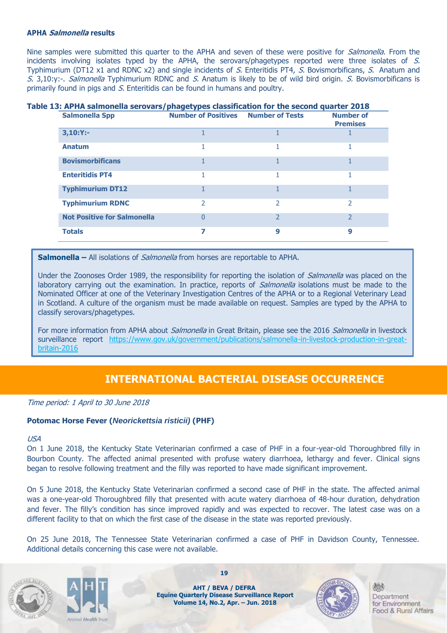#### **APHA Salmonella results**

Nine samples were submitted this quarter to the APHA and seven of these were positive for Salmonella. From the incidents involving isolates typed by the APHA, the serovars/phagetypes reported were three isolates of S. Typhimurium (DT12 x1 and RDNC x2) and single incidents of S. Enteritidis PT4, S. Bovismorbificans, S. Anatum and S. 3,10:y:-. Salmonella Typhimurium RDNC and S. Anatum is likely to be of wild bird origin. S. Bovismorbificans is primarily found in pigs and S. Enteritidis can be found in humans and poultry.

### **Table 13: APHA salmonella serovars/phagetypes classification for the second quarter 2018**

| <b>Salmonella Spp</b>              | <b>Number of Positives Number of Tests</b> |               | <b>Number of</b><br><b>Premises</b> |
|------------------------------------|--------------------------------------------|---------------|-------------------------------------|
| $3,10:Y:-$                         |                                            |               |                                     |
| <b>Anatum</b>                      |                                            |               |                                     |
| <b>Bovismorbificans</b>            |                                            |               |                                     |
| <b>Enteritidis PT4</b>             |                                            |               |                                     |
| <b>Typhimurium DT12</b>            |                                            |               |                                     |
| <b>Typhimurium RDNC</b>            | 2                                          | $\mathcal{P}$ | 2                                   |
| <b>Not Positive for Salmonella</b> | 0                                          | C,            | $\mathcal{P}$                       |
| <b>Totals</b>                      | 7                                          | 9             | 9                                   |

**Salmonella –** All isolations of *Salmonella* from horses are reportable to APHA.

Under the Zoonoses Order 1989, the responsibility for reporting the isolation of *Salmonella* was placed on the laboratory carrying out the examination. In practice, reports of *Salmonella* isolations must be made to the Nominated Officer at one of the Veterinary Investigation Centres of the APHA or to a Regional Veterinary Lead in Scotland. A culture of the organism must be made available on request. Samples are typed by the APHA to classify serovars/phagetypes.

For more information from APHA about Salmonella in Great Britain, please see the 2016 Salmonella in livestock surveillance report [https://www.gov.uk/government/publications/salmonella-in-livestock-production-in-great](https://www.gov.uk/government/publications/salmonella-in-livestock-production-in-great-britain-2016)[britain-2016](https://www.gov.uk/government/publications/salmonella-in-livestock-production-in-great-britain-2016)

### **INTERNATIONAL BACTERIAL DISEASE OCCURRENCE**

Time period: 1 April to 30 June 2018

#### **Potomac Horse Fever (***Neorickettsia risticii)* **(PHF)**

#### USA

On 1 June 2018, the Kentucky State Veterinarian confirmed a case of PHF in a four-year-old Thoroughbred filly in Bourbon County. The affected animal presented with profuse watery diarrhoea, lethargy and fever. Clinical signs began to resolve following treatment and the filly was reported to have made significant improvement.

On 5 June 2018, the Kentucky State Veterinarian confirmed a second case of PHF in the state. The affected animal was a one-year-old Thoroughbred filly that presented with acute watery diarrhoea of 48-hour duration, dehydration and fever. The filly's condition has since improved rapidly and was expected to recover. The latest case was on a different facility to that on which the first case of the disease in the state was reported previously.

On 25 June 2018, The Tennessee State Veterinarian confirmed a case of PHF in Davidson County, Tennessee. Additional details concerning this case were not available.





**AHT / BEVA / DEFRA Equine Quarterly Disease Surveillance Report Volume 14, No.2, Apr. – Jun. 2018**

**19**

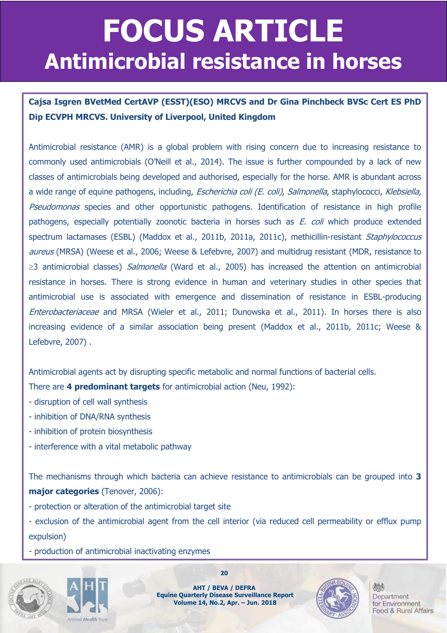## **FOCUS ARTICLE FOCUS ARTICLE Antimicrobial resistance in horses**

**Cajsa Isgren BVetMed CertAVP (ESST)(ESO) MRCVS and Dr Gina Pinchbeck BVSc Cert ES PhD Dip ECVPH MRCVS. University of Liverpool, United Kingdom**

Antimicrobial resistance (AMR) is a global problem with rising concern due to increasing resistance to commonly used antimicrobials (O'Neill et al., 2014). The issue is further compounded by a lack of new classes of antimicrobials being developed and authorised, especially for the horse. AMR is abundant across a wide range of equine pathogens, including, *Escherichia coli (E. coli), Salmonella*, staphylococci, Klebsiella, Pseudomonas species and other opportunistic pathogens. Identification of resistance in high profile pathogens, especially potentially zoonotic bacteria in horses such as E. coli which produce extended spectrum lactamases (ESBL) (Maddox et al., 2011b, 2011a, 2011c), methicillin-resistant Staphylococcus aureus (MRSA) (Weese et al., 2006; Weese & Lefebvre, 2007) and multidrug resistant (MDR, resistance to  $\geq$ 3 antimicrobial classes) *Salmonella* (Ward et al., 2005) has increased the attention on antimicrobial resistance in horses. There is strong evidence in human and veterinary studies in other species that antimicrobial use is associated with emergence and dissemination of resistance in ESBL-producing Enterobacteriaceae and MRSA (Wieler et al., 2011; Dunowska et al., 2011). In horses there is also increasing evidence of a similar association being present (Maddox et al., 2011b, 2011c; Weese & Lefebvre, 2007) .

Antimicrobial agents act by disrupting specific metabolic and normal functions of bacterial cells. There are **4 predominant targets** for antimicrobial action (Neu, 1992):

- disruption of cell wall synthesis
- inhibition of DNA/RNA synthesis
- inhibition of protein biosynthesis
- interference with a vital metabolic pathway

The mechanisms through which bacteria can achieve resistance to antimicrobials can be grouped into **3 major categories** (Tenover, 2006):

- protection or alteration of the antimicrobial target site

- exclusion of the antimicrobial agent from the cell interior (via reduced cell permeability or efflux pump expulsion)

- production of antimicrobial inactivating enzymes





**20**

**AHT / BEVA / DEFRA Equine Quarterly Disease Surveillance Report Volume 14, No.2, Apr. – Jun. 2018**

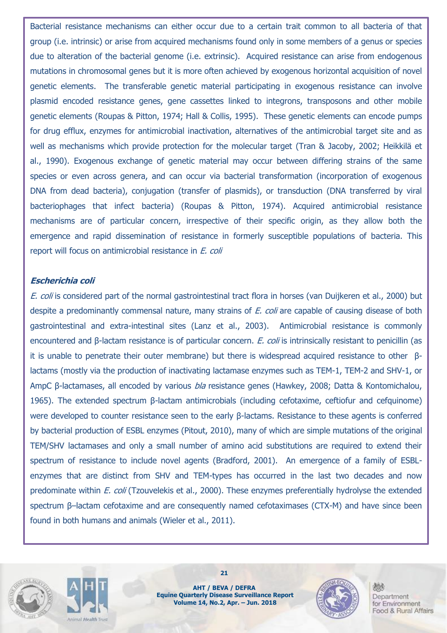Bacterial resistance mechanisms can either occur due to a certain trait common to all bacteria of that group (i.e. intrinsic) or arise from acquired mechanisms found only in some members of a genus or species due to alteration of the bacterial genome (i.e. extrinsic). Acquired resistance can arise from endogenous mutations in chromosomal genes but it is more often achieved by exogenous horizontal acquisition of novel genetic elements. The transferable genetic material participating in exogenous resistance can involve plasmid encoded resistance genes, gene cassettes linked to integrons, transposons and other mobile genetic elements (Roupas & Pitton, 1974; Hall & Collis, 1995). These genetic elements can encode pumps for drug efflux, enzymes for antimicrobial inactivation, alternatives of the antimicrobial target site and as well as mechanisms which provide protection for the molecular target (Tran & Jacoby, 2002; Heikkilä et al., 1990). Exogenous exchange of genetic material may occur between differing strains of the same species or even across genera, and can occur via bacterial transformation (incorporation of exogenous DNA from dead bacteria), conjugation (transfer of plasmids), or transduction (DNA transferred by viral bacteriophages that infect bacteria) (Roupas & Pitton, 1974). Acquired antimicrobial resistance mechanisms are of particular concern, irrespective of their specific origin, as they allow both the emergence and rapid dissemination of resistance in formerly susceptible populations of bacteria. This report will focus on antimicrobial resistance in E. coli

#### **Escherichia coli**

E. coli is considered part of the normal gastrointestinal tract flora in horses (van Duijkeren et al., 2000) but despite a predominantly commensal nature, many strains of E. coli are capable of causing disease of both gastrointestinal and extra-intestinal sites (Lanz et al., 2003). Antimicrobial resistance is commonly encountered and β-lactam resistance is of particular concern. E. coli is intrinsically resistant to penicillin (as it is unable to penetrate their outer membrane) but there is widespread acquired resistance to other βlactams (mostly via the production of inactivating lactamase enzymes such as TEM-1, TEM-2 and SHV-1, or AmpC β-lactamases, all encoded by various bla resistance genes (Hawkey, 2008; Datta & Kontomichalou, 1965). The extended spectrum β-lactam antimicrobials (including cefotaxime, ceftiofur and cefquinome) were developed to counter resistance seen to the early β-lactams. Resistance to these agents is conferred by bacterial production of ESBL enzymes (Pitout, 2010), many of which are simple mutations of the original TEM/SHV lactamases and only a small number of amino acid substitutions are required to extend their spectrum of resistance to include novel agents (Bradford, 2001). An emergence of a family of ESBLenzymes that are distinct from SHV and TEM-types has occurred in the last two decades and now predominate within *E. coli* (Tzouvelekis et al., 2000). These enzymes preferentially hydrolyse the extended spectrum β–lactam cefotaxime and are consequently named cefotaximases (CTX-M) and have since been found in both humans and animals (Wieler et al., 2011).





**AHT / BEVA / DEFRA Equine Quarterly Disease Surveillance Report Volume 14, No.2, Apr. – Jun. 2018**

**21**

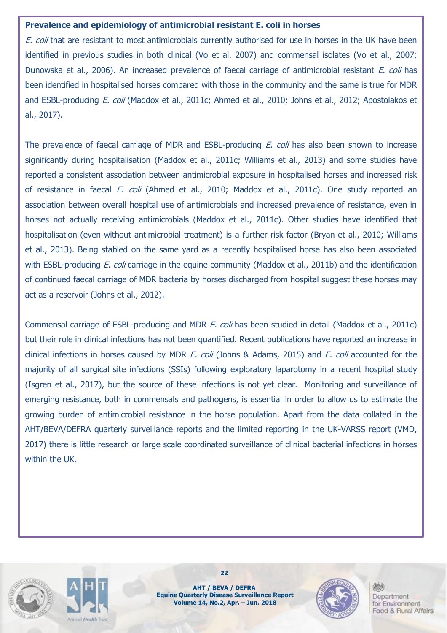#### **Prevalence and epidemiology of antimicrobial resistant E. coli in horses**

E. coli that are resistant to most antimicrobials currently authorised for use in horses in the UK have been identified in previous studies in both clinical (Vo et al. 2007) and commensal isolates (Vo et al., 2007; Dunowska et al., 2006). An increased prevalence of faecal carriage of antimicrobial resistant E. coli has been identified in hospitalised horses compared with those in the community and the same is true for MDR and ESBL-producing E. coli (Maddox et al., 2011c; Ahmed et al., 2010; Johns et al., 2012; Apostolakos et al., 2017).

The prevalence of faecal carriage of MDR and ESBL-producing *E. coli* has also been shown to increase significantly during hospitalisation (Maddox et al., 2011c; Williams et al., 2013) and some studies have reported a consistent association between antimicrobial exposure in hospitalised horses and increased risk of resistance in faecal E. coli (Ahmed et al., 2010; Maddox et al., 2011c). One study reported an association between overall hospital use of antimicrobials and increased prevalence of resistance, even in horses not actually receiving antimicrobials (Maddox et al., 2011c). Other studies have identified that hospitalisation (even without antimicrobial treatment) is a further risk factor (Bryan et al., 2010; Williams et al., 2013). Being stabled on the same yard as a recently hospitalised horse has also been associated with ESBL-producing *E. coli* carriage in the equine community (Maddox et al., 2011b) and the identification of continued faecal carriage of MDR bacteria by horses discharged from hospital suggest these horses may act as a reservoir (Johns et al., 2012).

Commensal carriage of ESBL-producing and MDR *E. coli* has been studied in detail (Maddox et al., 2011c) but their role in clinical infections has not been quantified. Recent publications have reported an increase in clinical infections in horses caused by MDR E. coli (Johns & Adams, 2015) and E. coli accounted for the majority of all surgical site infections (SSIs) following exploratory laparotomy in a recent hospital study (Isgren et al., 2017), but the source of these infections is not yet clear. Monitoring and surveillance of emerging resistance, both in commensals and pathogens, is essential in order to allow us to estimate the growing burden of antimicrobial resistance in the horse population. Apart from the data collated in the AHT/BEVA/DEFRA quarterly surveillance reports and the limited reporting in the UK-VARSS report (VMD, 2017) there is little research or large scale coordinated surveillance of clinical bacterial infections in horses within the UK.





**AHT / BEVA / DEFRA Equine Quarterly Disease Surveillance Report Volume 14, No.2, Apr. – Jun. 2018**

**22**

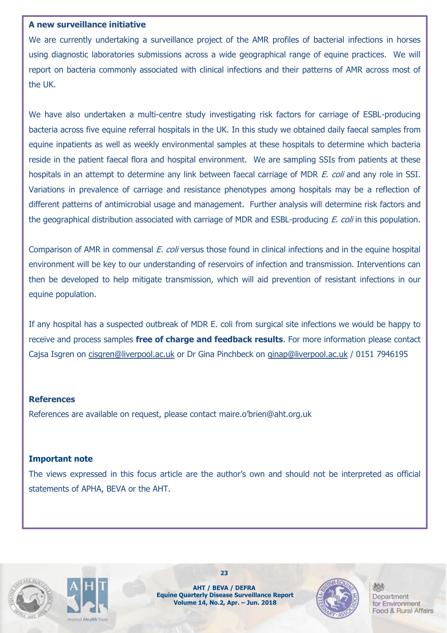#### **A new surveillance initiative**

We are currently undertaking a surveillance project of the AMR profiles of bacterial infections in horses using diagnostic laboratories submissions across a wide geographical range of equine practices. We will report on bacteria commonly associated with clinical infections and their patterns of AMR across most of the UK.

We have also undertaken a multi-centre study investigating risk factors for carriage of ESBL-producing bacteria across five equine referral hospitals in the UK. In this study we obtained daily faecal samples from equine inpatients as well as weekly environmental samples at these hospitals to determine which bacteria reside in the patient faecal flora and hospital environment. We are sampling SSIs from patients at these hospitals in an attempt to determine any link between faecal carriage of MDR E. coli and any role in SSI. Variations in prevalence of carriage and resistance phenotypes among hospitals may be a reflection of different patterns of antimicrobial usage and management. Further analysis will determine risk factors and the geographical distribution associated with carriage of MDR and ESBL-producing *E. coli* in this population.

Comparison of AMR in commensal E. coli versus those found in clinical infections and in the equine hospital environment will be key to our understanding of reservoirs of infection and transmission. Interventions can then be developed to help mitigate transmission, which will aid prevention of resistant infections in our equine population.

If any hospital has a suspected outbreak of MDR E. coli from surgical site infections we would be happy to receive and process samples **free of charge and feedback results**. For more information please contact Cajsa Isgren on [cisgren@liverpool.ac.uk](mailto:cisgren@liverpool.ac.uk) or Dr Gina Pinchbeck on [ginap@liverpool.ac.uk](mailto:ginap@liverpool.ac.uk) / 0151 7946195

#### **References**

References are available on request, please contact maire.o'brien@aht.org.uk

#### **Important note**

The views expressed in this focus article are the author's own and should not be interpreted as official statements of APHA, BEVA or the AHT.





**AHT / BEVA / DEFRA Equine Quarterly Disease Surveillance Report Volume 14, No.2, Apr. – Jun. 2018**

**23**

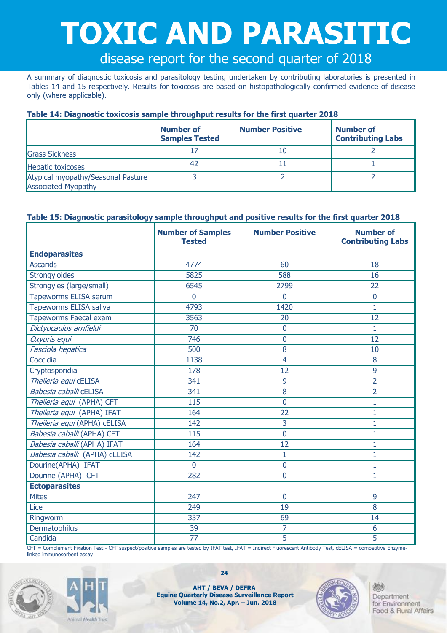# **TOXIC AND PARASITIC**

## disease report for the second quarter of 2018

A summary of diagnostic toxicosis and parasitology testing undertaken by contributing laboratories is presented in Tables 14 and 15 respectively. Results for toxicosis are based on histopathologically confirmed evidence of disease only (where applicable).

#### **Table 14: Diagnostic toxicosis sample throughput results for the first quarter 2018**

|                                                                  | <b>Number of</b><br><b>Samples Tested</b> | <b>Number Positive</b> | <b>Number of</b><br><b>Contributing Labs</b> |
|------------------------------------------------------------------|-------------------------------------------|------------------------|----------------------------------------------|
| <b>Grass Sickness</b>                                            |                                           |                        |                                              |
| <b>Hepatic toxicoses</b>                                         | 42                                        |                        |                                              |
| Atypical myopathy/Seasonal Pasture<br><b>Associated Myopathy</b> |                                           |                        |                                              |

#### **Table 15: Diagnostic parasitology sample throughput and positive results for the first quarter 2018**

|                               | <b>Number of Samples</b><br><b>Tested</b> | <b>Number Positive</b> | <b>Number of</b><br><b>Contributing Labs</b> |
|-------------------------------|-------------------------------------------|------------------------|----------------------------------------------|
| <b>Endoparasites</b>          |                                           |                        |                                              |
| <b>Ascarids</b>               | 4774                                      | 60                     | 18                                           |
| Strongyloides                 | 5825                                      | 588                    | 16                                           |
| Strongyles (large/small)      | 6545                                      | 2799                   | 22                                           |
| <b>Tapeworms ELISA serum</b>  | 0                                         | $\Omega$               | $\overline{0}$                               |
| <b>Tapeworms ELISA saliva</b> | 4793                                      | 1420                   | 1                                            |
| <b>Tapeworms Faecal exam</b>  | 3563                                      | 20                     | 12                                           |
| Dictyocaulus arnfieldi        | $\overline{70}$                           | $\overline{0}$         | $\overline{1}$                               |
| Oxyuris equi                  | 746                                       | $\overline{0}$         | 12                                           |
| Fasciola hepatica             | 500                                       | 8                      | 10                                           |
| Coccidia                      | 1138                                      | $\overline{4}$         | 8                                            |
| Cryptosporidia                | 178                                       | 12                     | 9                                            |
| Theileria equi cELISA         | 341                                       | 9                      | $\overline{2}$                               |
| Babesia caballi cELISA        | 341                                       | 8                      | $\overline{2}$                               |
| Theileria equi (APHA) CFT     | $\overline{115}$                          | $\mathbf 0$            | $\mathbf 1$                                  |
| Theileria equi (APHA) IFAT    | 164                                       | 22                     | 1                                            |
| Theileria equi (APHA) cELISA  | 142                                       | 3                      | 1                                            |
| Babesia caballi (APHA) CFT    | 115                                       | $\overline{0}$         | 1                                            |
| Babesia caballi (APHA) IFAT   | 164                                       | 12                     | 1                                            |
| Babesia caballi (APHA) cELISA | 142                                       | 1                      | 1                                            |
| Dourine(APHA) IFAT            | $\overline{0}$                            | $\mathbf 0$            | 1                                            |
| Dourine (APHA) CFT            | 282                                       | $\Omega$               | 1                                            |
| <b>Ectoparasites</b>          |                                           |                        |                                              |
| <b>Mites</b>                  | 247                                       | $\overline{0}$         | 9                                            |
| Lice                          | 249                                       | 19                     | 8                                            |
| Ringworm                      | 337                                       | 69                     | 14                                           |
| Dermatophilus                 | 39                                        | $\overline{7}$         | 6                                            |
| Candida                       | $\overline{77}$                           | 5                      | 5                                            |

CFT = Complement Fixation Test - CFT suspect/positive samples are tested by IFAT test, IFAT = Indirect Fluorescent Antibody Test, cELISA = competitive Enzymelinked immunosorbent assay





**AHT / BEVA / DEFRA Equine Quarterly Disease Surveillance Report Volume 14, No.2, Apr. – Jun. 2018**

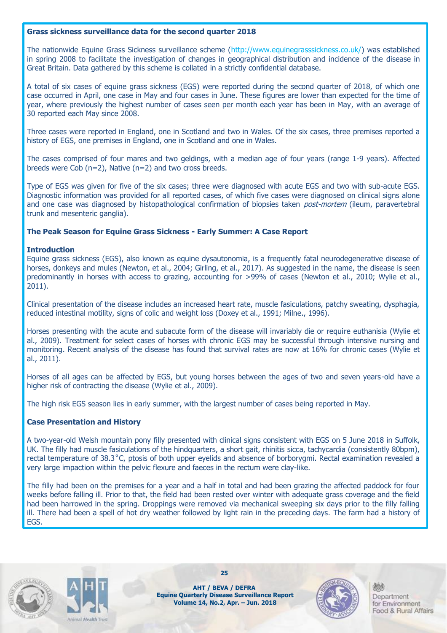#### **Grass sickness surveillance data for the second quarter 2018**

The nationwide Equine Grass Sickness surveillance scheme (http://www.equinegrasssickness.co.uk/) was established in spring 2008 to facilitate the investigation of changes in geographical distribution and incidence of the disease in Great Britain. Data gathered by this scheme is collated in a strictly confidential database.

A total of six cases of equine grass sickness (EGS) were reported during the second quarter of 2018, of which one case occurred in April, one case in May and four cases in June. These figures are lower than expected for the time of year, where previously the highest number of cases seen per month each year has been in May, with an average of 30 reported each May since 2008.

Three cases were reported in England, one in Scotland and two in Wales. Of the six cases, three premises reported a history of EGS, one premises in England, one in Scotland and one in Wales.

The cases comprised of four mares and two geldings, with a median age of four years (range 1-9 years). Affected breeds were Cob (n=2), Native (n=2) and two cross breeds.

Type of EGS was given for five of the six cases; three were diagnosed with acute EGS and two with sub-acute EGS. Diagnostic information was provided for all reported cases, of which five cases were diagnosed on clinical signs alone and one case was diagnosed by histopathological confirmation of biopsies taken *post-mortem* (ileum, paravertebral trunk and mesenteric ganglia).

#### **The Peak Season for Equine Grass Sickness - Early Summer: A Case Report**

#### **Introduction**

Equine grass sickness (EGS), also known as equine dysautonomia, is a frequently fatal neurodegenerative disease of horses, donkeys and mules (Newton, et al., 2004; Girling, et al., 2017). As suggested in the name, the disease is seen predominantly in horses with access to grazing, accounting for >99% of cases (Newton et al., 2010; Wylie et al., 2011).

Clinical presentation of the disease includes an increased heart rate, muscle fasiculations, patchy sweating, dysphagia, reduced intestinal motility, signs of colic and weight loss (Doxey et al., 1991; Milne., 1996).

Horses presenting with the acute and subacute form of the disease will invariably die or require euthanisia (Wylie et al., 2009). Treatment for select cases of horses with chronic EGS may be successful through intensive nursing and monitoring. Recent analysis of the disease has found that survival rates are now at 16% for chronic cases (Wylie et al., 2011).

Horses of all ages can be affected by EGS, but young horses between the ages of two and seven years-old have a higher risk of contracting the disease (Wylie et al., 2009).

The high risk EGS season lies in early summer, with the largest number of cases being reported in May.

#### **Case Presentation and History**

A two-year-old Welsh mountain pony filly presented with clinical signs consistent with EGS on 5 June 2018 in Suffolk, UK. The filly had muscle fasiculations of the hindquarters, a short gait, rhinitis sicca, tachycardia (consistently 80bpm), rectal temperature of 38.3˚C, ptosis of both upper eyelids and absence of borborygmi. Rectal examination revealed a very large impaction within the pelvic flexure and faeces in the rectum were clay-like.

The filly had been on the premises for a year and a half in total and had been grazing the affected paddock for four weeks before falling ill. Prior to that, the field had been rested over winter with adequate grass coverage and the field had been harrowed in the spring. Droppings were removed via mechanical sweeping six days prior to the filly falling ill. There had been a spell of hot dry weather followed by light rain in the preceding days. The farm had a history of EGS.





**AHT / BEVA / DEFRA Equine Quarterly Disease Surveillance Report Volume 14, No.2, Apr. – Jun. 2018**

**25**

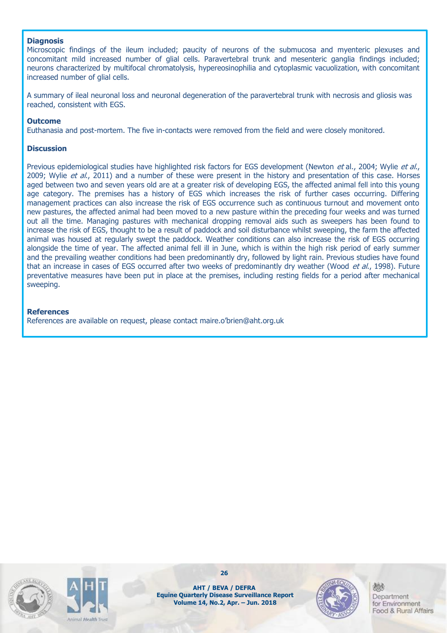#### **Diagnosis**

Microscopic findings of the ileum included; paucity of neurons of the submucosa and myenteric plexuses and concomitant mild increased number of glial cells. Paravertebral trunk and mesenteric ganglia findings included; neurons characterized by multifocal chromatolysis, hypereosinophilia and cytoplasmic vacuolization, with concomitant increased number of glial cells.

A summary of ileal neuronal loss and neuronal degeneration of the paravertebral trunk with necrosis and gliosis was reached, consistent with EGS.

#### **Outcome**

Euthanasia and post-mortem. The five in-contacts were removed from the field and were closely monitored.

#### **Discussion**

Previous epidemiological studies have highlighted risk factors for EGS development (Newton et al., 2004; Wylie et al., 2009; Wylie et al., 2011) and a number of these were present in the history and presentation of this case. Horses aged between two and seven years old are at a greater risk of developing EGS, the affected animal fell into this young age category. The premises has a history of EGS which increases the risk of further cases occurring. Differing management practices can also increase the risk of EGS occurrence such as continuous turnout and movement onto new pastures, the affected animal had been moved to a new pasture within the preceding four weeks and was turned out all the time. Managing pastures with mechanical dropping removal aids such as sweepers has been found to increase the risk of EGS, thought to be a result of paddock and soil disturbance whilst sweeping, the farm the affected animal was housed at regularly swept the paddock. Weather conditions can also increase the risk of EGS occurring alongside the time of year. The affected animal fell ill in June, which is within the high risk period of early summer and the prevailing weather conditions had been predominantly dry, followed by light rain. Previous studies have found that an increase in cases of EGS occurred after two weeks of predominantly dry weather (Wood et al., 1998). Future preventative measures have been put in place at the premises, including resting fields for a period after mechanical sweeping.

#### **References**

References are available on request, please contact maire.o'brien@aht.org.uk





**26**

**AHT / BEVA / DEFRA Equine Quarterly Disease Surveillance Report Volume 14, No.2, Apr. – Jun. 2018**

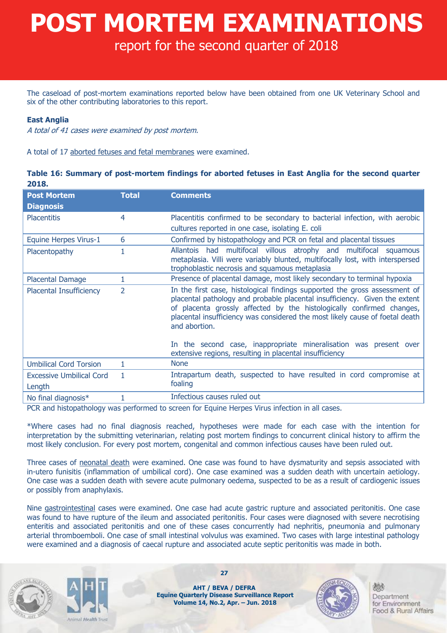# **POST MORTEM EXAMINATIONS**

## report for the second quarter of 2018

The caseload of post-mortem examinations reported below have been obtained from one UK Veterinary School and six of the other contributing laboratories to this report.

#### **East Anglia**

A total of 41 cases were examined by post mortem.

A total of 17 aborted fetuses and fetal membranes were examined.

#### **Table 16: Summary of post-mortem findings for aborted fetuses in East Anglia for the second quarter 2018.**

| <b>Post Mortem</b><br><b>Diagnosis</b>    | <b>Total</b>   | <b>Comments</b>                                                                                                                                                                                                                                                                                                                                                                                         |
|-------------------------------------------|----------------|---------------------------------------------------------------------------------------------------------------------------------------------------------------------------------------------------------------------------------------------------------------------------------------------------------------------------------------------------------------------------------------------------------|
| <b>Placentitis</b>                        | 4              | Placentitis confirmed to be secondary to bacterial infection, with aerobic<br>cultures reported in one case, isolating E. coli                                                                                                                                                                                                                                                                          |
| <b>Equine Herpes Virus-1</b>              | 6              | Confirmed by histopathology and PCR on fetal and placental tissues                                                                                                                                                                                                                                                                                                                                      |
| Placentopathy                             |                | multifocal villous atrophy and multifocal squamous<br><b>Allantois</b><br>had<br>metaplasia. Villi were variably blunted, multifocally lost, with interspersed<br>trophoblastic necrosis and squamous metaplasia                                                                                                                                                                                        |
| <b>Placental Damage</b>                   | 1              | Presence of placental damage, most likely secondary to terminal hypoxia                                                                                                                                                                                                                                                                                                                                 |
| <b>Placental Insufficiency</b>            | $\overline{2}$ | In the first case, histological findings supported the gross assessment of<br>placental pathology and probable placental insufficiency. Given the extent<br>of placenta grossly affected by the histologically confirmed changes,<br>placental insufficiency was considered the most likely cause of foetal death<br>and abortion.<br>In the second case, inappropriate mineralisation was present over |
|                                           |                | extensive regions, resulting in placental insufficiency                                                                                                                                                                                                                                                                                                                                                 |
| <b>Umbilical Cord Torsion</b>             |                | <b>None</b>                                                                                                                                                                                                                                                                                                                                                                                             |
| <b>Excessive Umbilical Cord</b><br>Length | 1              | Intrapartum death, suspected to have resulted in cord compromise at<br>foaling                                                                                                                                                                                                                                                                                                                          |
| No final diagnosis*                       |                | Infectious causes ruled out                                                                                                                                                                                                                                                                                                                                                                             |

PCR and histopathology was performed to screen for Equine Herpes Virus infection in all cases.

\*Where cases had no final diagnosis reached, hypotheses were made for each case with the intention for interpretation by the submitting veterinarian, relating post mortem findings to concurrent clinical history to affirm the most likely conclusion. For every post mortem, congenital and common infectious causes have been ruled out.

Three cases of neonatal death were examined. One case was found to have dysmaturity and sepsis associated with in-utero funisitis (inflammation of umbilical cord). One case examined was a sudden death with uncertain aetiology. One case was a sudden death with severe acute pulmonary oedema, suspected to be as a result of cardiogenic issues or possibly from anaphylaxis.

Nine gastrointestinal cases were examined. One case had acute gastric rupture and associated peritonitis. One case was found to have rupture of the ileum and associated peritonitis. Four cases were diagnosed with severe necrotising enteritis and associated peritonitis and one of these cases concurrently had nephritis, pneumonia and pulmonary arterial thromboemboli. One case of small intestinal volvulus was examined. Two cases with large intestinal pathology were examined and a diagnosis of caecal rupture and associated acute septic peritonitis was made in both.





**AHT / BEVA / DEFRA Equine Quarterly Disease Surveillance Report Volume 14, No.2, Apr. – Jun. 2018**

**27**

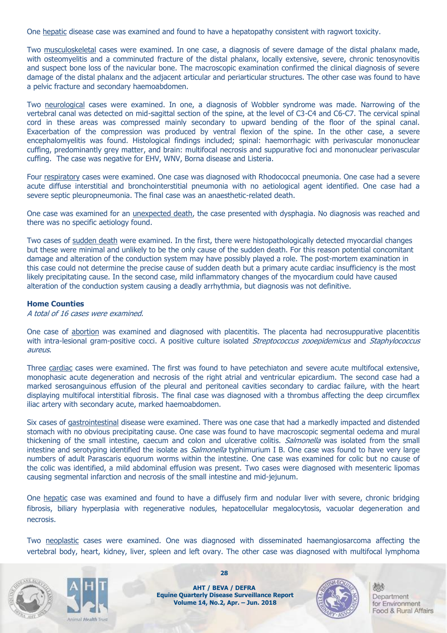One hepatic disease case was examined and found to have a hepatopathy consistent with ragwort toxicity.

Two musculoskeletal cases were examined. In one case, a diagnosis of severe damage of the distal phalanx made, with osteomyelitis and a comminuted fracture of the distal phalanx, locally extensive, severe, chronic tenosynovitis and suspect bone loss of the navicular bone. The macroscopic examination confirmed the clinical diagnosis of severe damage of the distal phalanx and the adjacent articular and periarticular structures. The other case was found to have a pelvic fracture and secondary haemoabdomen.

Two neurological cases were examined. In one, a diagnosis of Wobbler syndrome was made. Narrowing of the vertebral canal was detected on mid-sagittal section of the spine, at the level of C3-C4 and C6-C7. The cervical spinal cord in these areas was compressed mainly secondary to upward bending of the floor of the spinal canal. Exacerbation of the compression was produced by ventral flexion of the spine. In the other case, a severe encephalomyelitis was found. Histological findings included; spinal: haemorrhagic with perivascular mononuclear cuffing, predominantly grey matter, and brain: multifocal necrosis and suppurative foci and mononuclear perivascular cuffing. The case was negative for EHV, WNV, Borna disease and Listeria.

Four respiratory cases were examined. One case was diagnosed with Rhodococcal pneumonia. One case had a severe acute diffuse interstitial and bronchointerstitial pneumonia with no aetiological agent identified. One case had a severe septic pleuropneumonia. The final case was an anaesthetic-related death.

One case was examined for an unexpected death, the case presented with dysphagia. No diagnosis was reached and there was no specific aetiology found.

Two cases of sudden death were examined. In the first, there were histopathologically detected myocardial changes but these were minimal and unlikely to be the only cause of the sudden death. For this reason potential concomitant damage and alteration of the conduction system may have possibly played a role. The post-mortem examination in this case could not determine the precise cause of sudden death but a primary acute cardiac insufficiency is the most likely precipitating cause. In the second case, mild inflammatory changes of the myocardium could have caused alteration of the conduction system causing a deadly arrhythmia, but diagnosis was not definitive.

#### **Home Counties**

A total of 16 cases were examined.

One case of abortion was examined and diagnosed with placentitis. The placenta had necrosuppurative placentitis with intra-lesional gram-positive cocci. A positive culture isolated Streptococcus zooepidemicus and Staphylococcus aureus.

Three cardiac cases were examined. The first was found to have petechiaton and severe acute multifocal extensive, monophasic acute degeneration and necrosis of the right atrial and ventricular epicardium. The second case had a marked serosanguinous effusion of the pleural and peritoneal cavities secondary to cardiac failure, with the heart displaying multifocal interstitial fibrosis. The final case was diagnosed with a thrombus affecting the deep circumflex iliac artery with secondary acute, marked haemoabdomen.

Six cases of gastrointestinal disease were examined. There was one case that had a markedly impacted and distended stomach with no obvious precipitating cause. One case was found to have macroscopic segmental oedema and mural thickening of the small intestine, caecum and colon and ulcerative colitis. *Salmonella* was isolated from the small intestine and serotyping identified the isolate as *Salmonella* typhimurium I B. One case was found to have very large numbers of adult Parascaris equorum worms within the intestine. One case was examined for colic but no cause of the colic was identified, a mild abdominal effusion was present. Two cases were diagnosed with mesenteric lipomas causing segmental infarction and necrosis of the small intestine and mid-jejunum.

One hepatic case was examined and found to have a diffusely firm and nodular liver with severe, chronic bridging fibrosis, biliary hyperplasia with regenerative nodules, hepatocellular megalocytosis, vacuolar degeneration and necrosis.

Two neoplastic cases were examined. One was diagnosed with disseminated haemangiosarcoma affecting the vertebral body, heart, kidney, liver, spleen and left ovary. The other case was diagnosed with multifocal lymphoma



mal Health Trust

**AHT / BEVA / DEFRA Equine Quarterly Disease Surveillance Report Volume 14, No.2, Apr. – Jun. 2018**

**28**

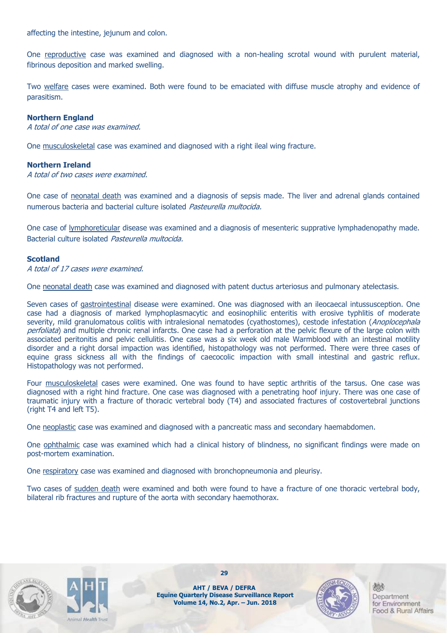affecting the intestine, jejunum and colon.

One reproductive case was examined and diagnosed with a non-healing scrotal wound with purulent material, fibrinous deposition and marked swelling.

Two welfare cases were examined. Both were found to be emaciated with diffuse muscle atrophy and evidence of parasitism.

#### **Northern England**

A total of one case was examined.

One musculoskeletal case was examined and diagnosed with a right ileal wing fracture.

#### **Northern Ireland**

A total of two cases were examined.

One case of neonatal death was examined and a diagnosis of sepsis made. The liver and adrenal glands contained numerous bacteria and bacterial culture isolated Pasteurella multocida.

One case of lymphoreticular disease was examined and a diagnosis of mesenteric supprative lymphadenopathy made. Bacterial culture isolated Pasteurella multocida.

#### **Scotland**

A total of 17 cases were examined.

One neonatal death case was examined and diagnosed with patent ductus arteriosus and pulmonary atelectasis.

Seven cases of gastrointestinal disease were examined. One was diagnosed with an ileocaecal intussusception. One case had a diagnosis of marked lymphoplasmacytic and eosinophilic enteritis with erosive typhlitis of moderate severity, mild granulomatous colitis with intralesional nematodes (cyathostomes), cestode infestation (Anoplocephala perfoliata) and multiple chronic renal infarcts. One case had a perforation at the pelvic flexure of the large colon with associated peritonitis and pelvic cellulitis. One case was a six week old male Warmblood with an intestinal motility disorder and a right dorsal impaction was identified, histopathology was not performed. There were three cases of equine grass sickness all with the findings of caecocolic impaction with small intestinal and gastric reflux. Histopathology was not performed.

Four musculoskeletal cases were examined. One was found to have septic arthritis of the tarsus. One case was diagnosed with a right hind fracture. One case was diagnosed with a penetrating hoof injury. There was one case of traumatic injury with a fracture of thoracic vertebral body (T4) and associated fractures of costovertebral junctions (right T4 and left T5).

One neoplastic case was examined and diagnosed with a pancreatic mass and secondary haemabdomen.

One ophthalmic case was examined which had a clinical history of blindness, no significant findings were made on post-mortem examination.

One respiratory case was examined and diagnosed with bronchopneumonia and pleurisy.

Two cases of sudden death were examined and both were found to have a fracture of one thoracic vertebral body, bilateral rib fractures and rupture of the aorta with secondary haemothorax.





**29**

**AHT / BEVA / DEFRA Equine Quarterly Disease Surveillance Report Volume 14, No.2, Apr. – Jun. 2018**

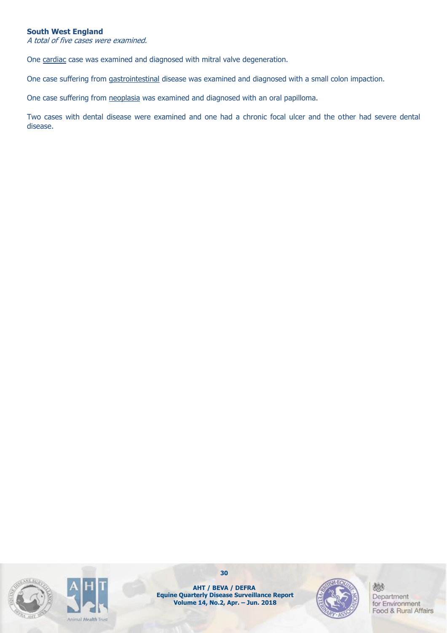#### **South West England**

A total of five cases were examined.

One cardiac case was examined and diagnosed with mitral valve degeneration.

One case suffering from gastrointestinal disease was examined and diagnosed with a small colon impaction.

One case suffering from neoplasia was examined and diagnosed with an oral papilloma.

Two cases with dental disease were examined and one had a chronic focal ulcer and the other had severe dental disease.





**30**

**AHT / BEVA / DEFRA Equine Quarterly Disease Surveillance Report Volume 14, No.2, Apr. – Jun. 2018**